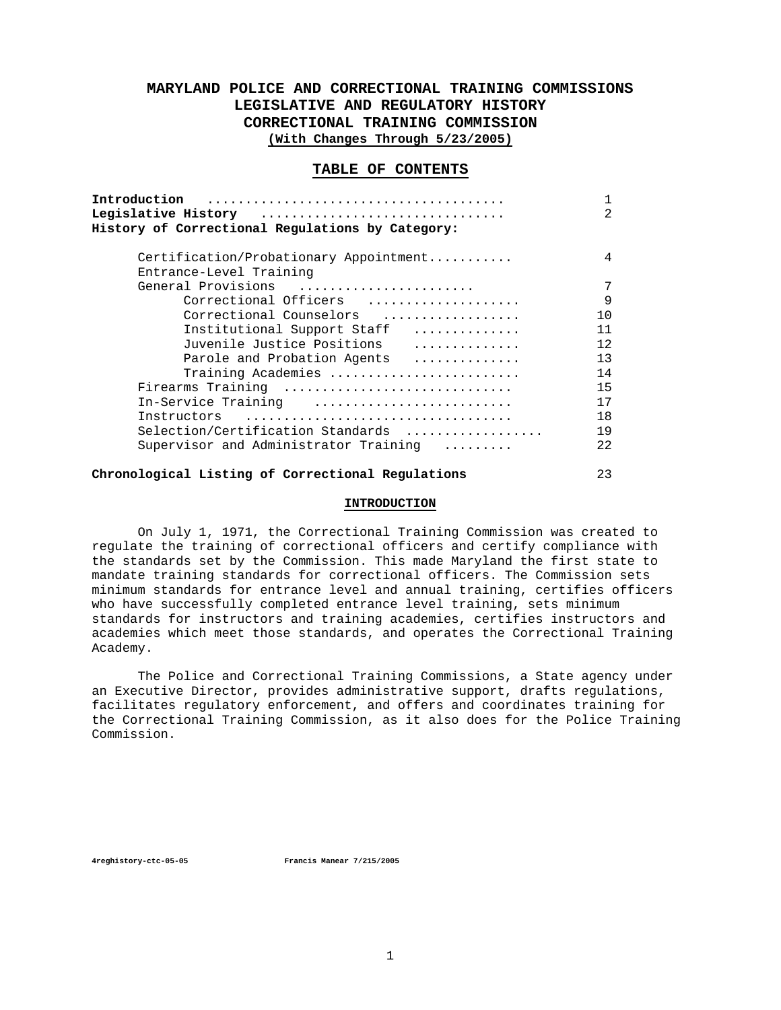# **MARYLAND POLICE AND CORRECTIONAL TRAINING COMMISSIONS LEGISLATIVE AND REGULATORY HISTORY CORRECTIONAL TRAINING COMMISSION (With Changes Through 5/23/2005)**

### **TABLE OF CONTENTS**

| Legislative History (and the contract of the History Communisties of the Legislative<br>History of Correctional Regulations by Category: | 1<br>$\mathcal{L}$ |
|------------------------------------------------------------------------------------------------------------------------------------------|--------------------|
| Certification/Probationary Appointment                                                                                                   | 4                  |
| Entrance-Level Training                                                                                                                  |                    |
| General Provisions                                                                                                                       | 7                  |
| Correctional Officers                                                                                                                    | 9                  |
| Correctional Counselors                                                                                                                  | 10                 |
| Institutional Support Staff                                                                                                              | 11                 |
| Juvenile Justice Positions                                                                                                               | 12                 |
| Parole and Probation Agents                                                                                                              | 13                 |
| Training Academies                                                                                                                       | 14                 |
| Firearms Training                                                                                                                        | 15                 |
| In-Service Training                                                                                                                      | 17                 |
|                                                                                                                                          | 18                 |
| Selection/Certification Standards                                                                                                        | 19                 |
| Supervisor and Administrator Training                                                                                                    | 22                 |
|                                                                                                                                          | ົາ                 |

# **Chronological Listing of Correctional Regulations** 23

### **INTRODUCTION**

 On July 1, 1971, the Correctional Training Commission was created to regulate the training of correctional officers and certify compliance with the standards set by the Commission. This made Maryland the first state to mandate training standards for correctional officers. The Commission sets minimum standards for entrance level and annual training, certifies officers who have successfully completed entrance level training, sets minimum standards for instructors and training academies, certifies instructors and academies which meet those standards, and operates the Correctional Training Academy.

 The Police and Correctional Training Commissions, a State agency under an Executive Director, provides administrative support, drafts regulations, facilitates regulatory enforcement, and offers and coordinates training for the Correctional Training Commission, as it also does for the Police Training Commission.

**4reghistory-ctc-05-05 Francis Manear 7/215/2005**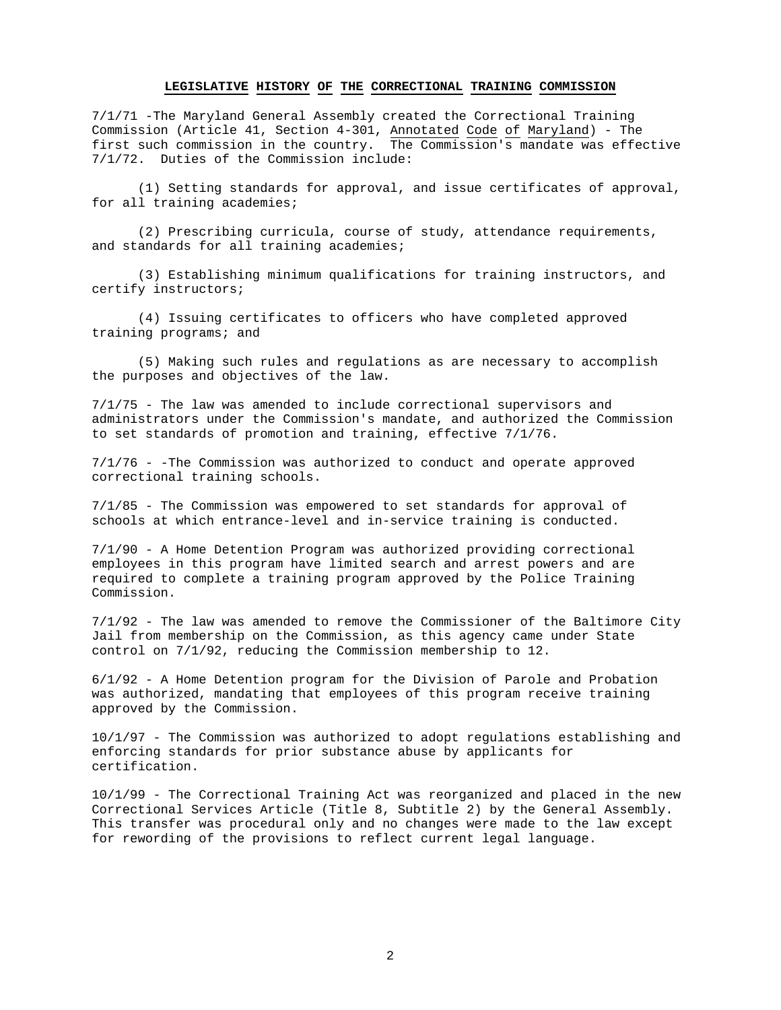#### **LEGISLATIVE HISTORY OF THE CORRECTIONAL TRAINING COMMISSION**

7/1/71 -The Maryland General Assembly created the Correctional Training Commission (Article 41, Section 4-301, Annotated Code of Maryland) - The first such commission in the country. The Commission's mandate was effective 7/1/72. Duties of the Commission include:

 (1) Setting standards for approval, and issue certificates of approval, for all training academies;

 (2) Prescribing curricula, course of study, attendance requirements, and standards for all training academies;

 (3) Establishing minimum qualifications for training instructors, and certify instructors;

 (4) Issuing certificates to officers who have completed approved training programs; and

 (5) Making such rules and regulations as are necessary to accomplish the purposes and objectives of the law.

7/1/75 - The law was amended to include correctional supervisors and administrators under the Commission's mandate, and authorized the Commission to set standards of promotion and training, effective 7/1/76.

7/1/76 - -The Commission was authorized to conduct and operate approved correctional training schools.

7/1/85 - The Commission was empowered to set standards for approval of schools at which entrance-level and in-service training is conducted.

7/1/90 - A Home Detention Program was authorized providing correctional employees in this program have limited search and arrest powers and are required to complete a training program approved by the Police Training Commission.

7/1/92 - The law was amended to remove the Commissioner of the Baltimore City Jail from membership on the Commission, as this agency came under State control on 7/1/92, reducing the Commission membership to 12.

6/1/92 - A Home Detention program for the Division of Parole and Probation was authorized, mandating that employees of this program receive training approved by the Commission.

10/1/97 - The Commission was authorized to adopt regulations establishing and enforcing standards for prior substance abuse by applicants for certification.

10/1/99 - The Correctional Training Act was reorganized and placed in the new Correctional Services Article (Title 8, Subtitle 2) by the General Assembly. This transfer was procedural only and no changes were made to the law except for rewording of the provisions to reflect current legal language.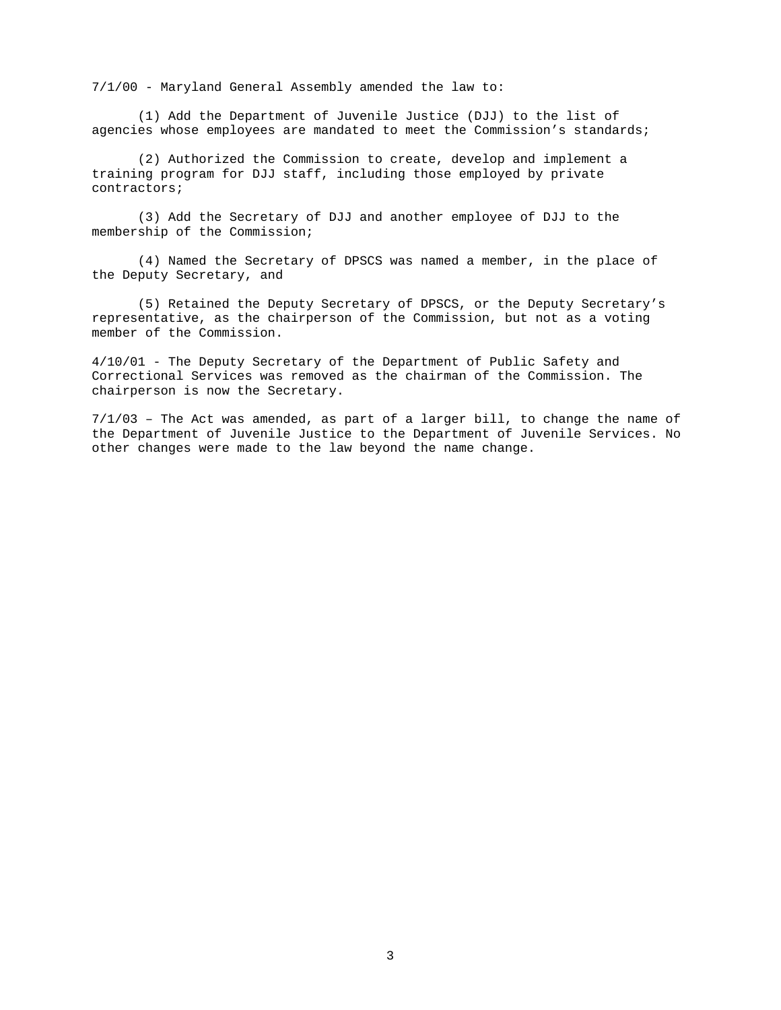7/1/00 - Maryland General Assembly amended the law to:

 (1) Add the Department of Juvenile Justice (DJJ) to the list of agencies whose employees are mandated to meet the Commission's standards;

 (2) Authorized the Commission to create, develop and implement a training program for DJJ staff, including those employed by private contractors;

 (3) Add the Secretary of DJJ and another employee of DJJ to the membership of the Commission;

 (4) Named the Secretary of DPSCS was named a member, in the place of the Deputy Secretary, and

 (5) Retained the Deputy Secretary of DPSCS, or the Deputy Secretary's representative, as the chairperson of the Commission, but not as a voting member of the Commission.

4/10/01 - The Deputy Secretary of the Department of Public Safety and Correctional Services was removed as the chairman of the Commission. The chairperson is now the Secretary.

7/1/03 – The Act was amended, as part of a larger bill, to change the name of the Department of Juvenile Justice to the Department of Juvenile Services. No other changes were made to the law beyond the name change.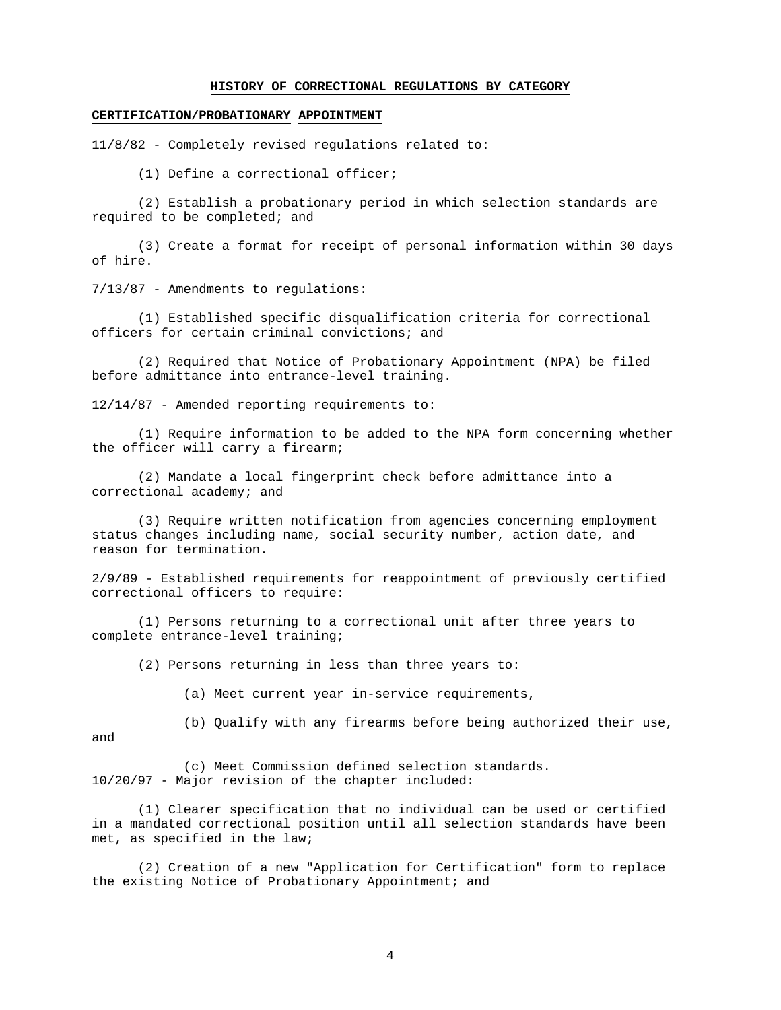### **HISTORY OF CORRECTIONAL REGULATIONS BY CATEGORY**

### **CERTIFICATION/PROBATIONARY APPOINTMENT**

11/8/82 - Completely revised regulations related to:

(1) Define a correctional officer;

 (2) Establish a probationary period in which selection standards are required to be completed; and

 (3) Create a format for receipt of personal information within 30 days of hire.

7/13/87 - Amendments to regulations:

 (1) Established specific disqualification criteria for correctional officers for certain criminal convictions; and

 (2) Required that Notice of Probationary Appointment (NPA) be filed before admittance into entrance-level training.

12/14/87 - Amended reporting requirements to:

 (1) Require information to be added to the NPA form concerning whether the officer will carry a firearm;

 (2) Mandate a local fingerprint check before admittance into a correctional academy; and

 (3) Require written notification from agencies concerning employment status changes including name, social security number, action date, and reason for termination.

2/9/89 - Established requirements for reappointment of previously certified correctional officers to require:

 (1) Persons returning to a correctional unit after three years to complete entrance-level training;

(2) Persons returning in less than three years to:

(a) Meet current year in-service requirements,

and

(b) Qualify with any firearms before being authorized their use,

 (c) Meet Commission defined selection standards. 10/20/97 - Major revision of the chapter included:

 (1) Clearer specification that no individual can be used or certified in a mandated correctional position until all selection standards have been met, as specified in the law;

 (2) Creation of a new "Application for Certification" form to replace the existing Notice of Probationary Appointment; and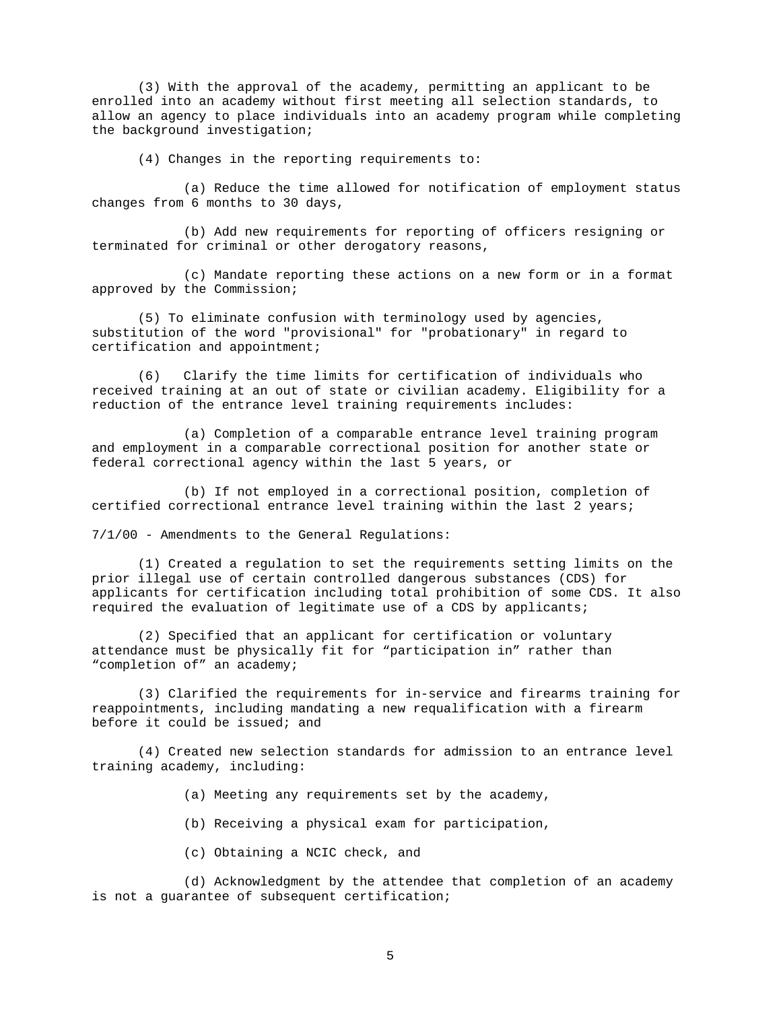(3) With the approval of the academy, permitting an applicant to be enrolled into an academy without first meeting all selection standards, to allow an agency to place individuals into an academy program while completing the background investigation;

(4) Changes in the reporting requirements to:

 (a) Reduce the time allowed for notification of employment status changes from 6 months to 30 days,

 (b) Add new requirements for reporting of officers resigning or terminated for criminal or other derogatory reasons,

 (c) Mandate reporting these actions on a new form or in a format approved by the Commission;

 (5) To eliminate confusion with terminology used by agencies, substitution of the word "provisional" for "probationary" in regard to certification and appointment;

 (6) Clarify the time limits for certification of individuals who received training at an out of state or civilian academy. Eligibility for a reduction of the entrance level training requirements includes:

 (a) Completion of a comparable entrance level training program and employment in a comparable correctional position for another state or federal correctional agency within the last 5 years, or

 (b) If not employed in a correctional position, completion of certified correctional entrance level training within the last 2 years;

7/1/00 - Amendments to the General Regulations:

 (1) Created a regulation to set the requirements setting limits on the prior illegal use of certain controlled dangerous substances (CDS) for applicants for certification including total prohibition of some CDS. It also required the evaluation of legitimate use of a CDS by applicants;

 (2) Specified that an applicant for certification or voluntary attendance must be physically fit for "participation in" rather than "completion of" an academy;

 (3) Clarified the requirements for in-service and firearms training for reappointments, including mandating a new requalification with a firearm before it could be issued; and

 (4) Created new selection standards for admission to an entrance level training academy, including:

(a) Meeting any requirements set by the academy,

(b) Receiving a physical exam for participation,

(c) Obtaining a NCIC check, and

 (d) Acknowledgment by the attendee that completion of an academy is not a guarantee of subsequent certification;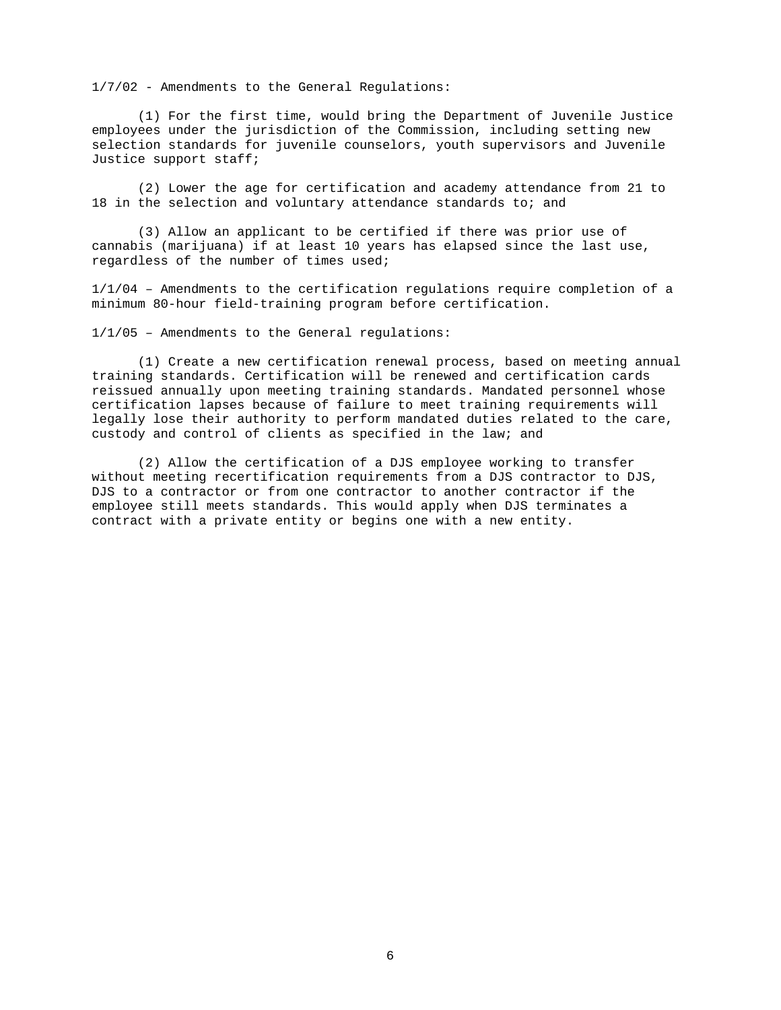1/7/02 - Amendments to the General Regulations:

(1) For the first time, would bring the Department of Juvenile Justice employees under the jurisdiction of the Commission, including setting new selection standards for juvenile counselors, youth supervisors and Juvenile Justice support staff;

(2) Lower the age for certification and academy attendance from 21 to 18 in the selection and voluntary attendance standards to; and

 (3) Allow an applicant to be certified if there was prior use of cannabis (marijuana) if at least 10 years has elapsed since the last use, regardless of the number of times used;

 $1/1/04$  - Amendments to the certification requlations require completion of a minimum 80-hour field-training program before certification.

1/1/05 – Amendments to the General regulations:

(1) Create a new certification renewal process, based on meeting annual training standards. Certification will be renewed and certification cards reissued annually upon meeting training standards. Mandated personnel whose certification lapses because of failure to meet training requirements will legally lose their authority to perform mandated duties related to the care, custody and control of clients as specified in the law; and

 (2) Allow the certification of a DJS employee working to transfer without meeting recertification requirements from a DJS contractor to DJS, DJS to a contractor or from one contractor to another contractor if the employee still meets standards. This would apply when DJS terminates a contract with a private entity or begins one with a new entity.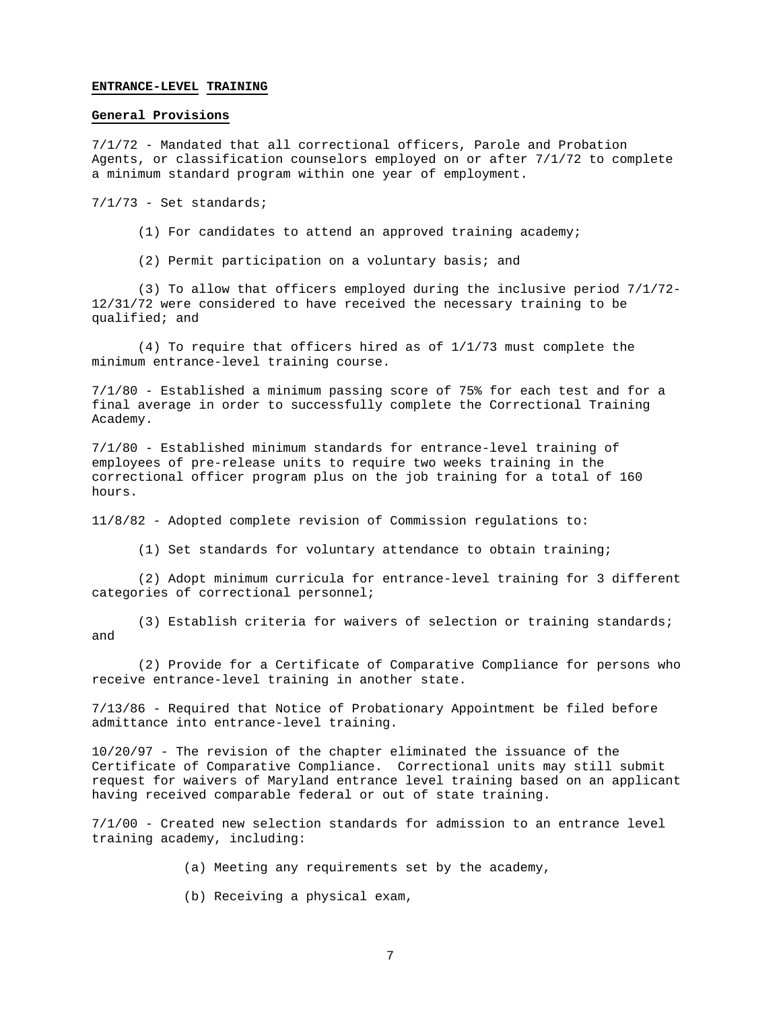#### **ENTRANCE-LEVEL TRAINING**

### **General Provisions**

7/1/72 - Mandated that all correctional officers, Parole and Probation Agents, or classification counselors employed on or after 7/1/72 to complete a minimum standard program within one year of employment.

7/1/73 - Set standards;

- (1) For candidates to attend an approved training academy;
- (2) Permit participation on a voluntary basis; and

 (3) To allow that officers employed during the inclusive period 7/1/72- 12/31/72 were considered to have received the necessary training to be qualified; and

 (4) To require that officers hired as of 1/1/73 must complete the minimum entrance-level training course.

7/1/80 - Established a minimum passing score of 75% for each test and for a final average in order to successfully complete the Correctional Training Academy.

7/1/80 - Established minimum standards for entrance-level training of employees of pre-release units to require two weeks training in the correctional officer program plus on the job training for a total of 160 hours.

11/8/82 - Adopted complete revision of Commission regulations to:

(1) Set standards for voluntary attendance to obtain training;

 (2) Adopt minimum curricula for entrance-level training for 3 different categories of correctional personnel;

 (3) Establish criteria for waivers of selection or training standards; and

 (2) Provide for a Certificate of Comparative Compliance for persons who receive entrance-level training in another state.

7/13/86 - Required that Notice of Probationary Appointment be filed before admittance into entrance-level training.

10/20/97 - The revision of the chapter eliminated the issuance of the Certificate of Comparative Compliance. Correctional units may still submit request for waivers of Maryland entrance level training based on an applicant having received comparable federal or out of state training.

7/1/00 - Created new selection standards for admission to an entrance level training academy, including:

- (a) Meeting any requirements set by the academy,
- (b) Receiving a physical exam,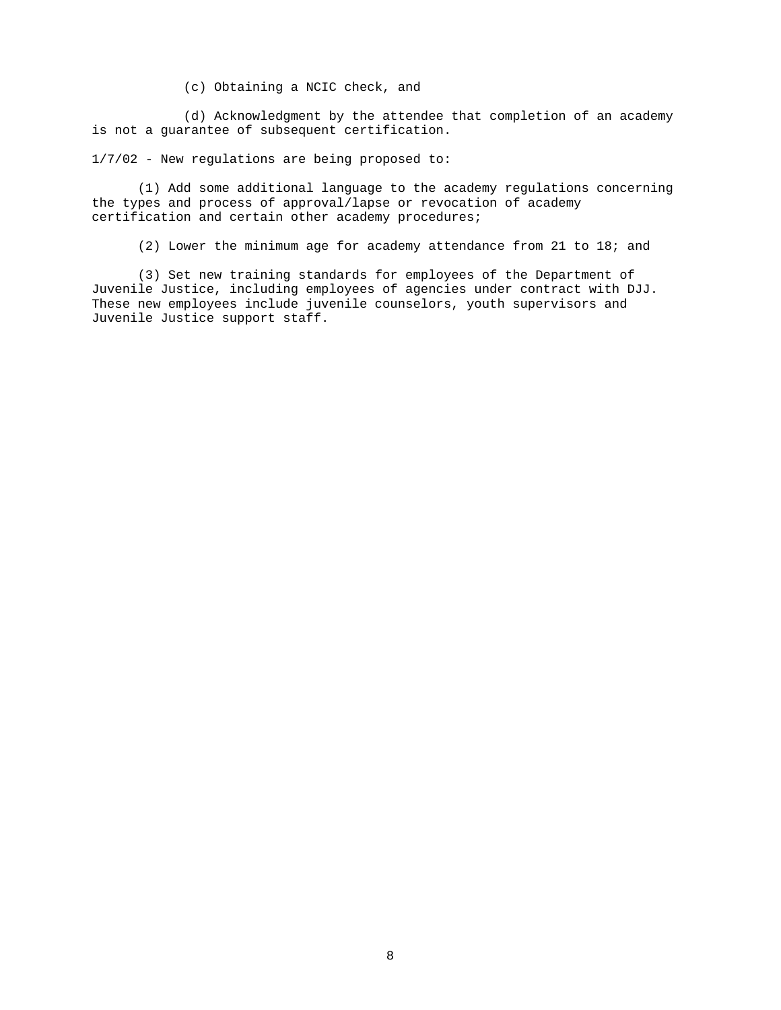(c) Obtaining a NCIC check, and

 (d) Acknowledgment by the attendee that completion of an academy is not a guarantee of subsequent certification.

1/7/02 - New regulations are being proposed to:

 (1) Add some additional language to the academy regulations concerning the types and process of approval/lapse or revocation of academy certification and certain other academy procedures;

(2) Lower the minimum age for academy attendance from 21 to 18; and

 (3) Set new training standards for employees of the Department of Juvenile Justice, including employees of agencies under contract with DJJ. These new employees include juvenile counselors, youth supervisors and Juvenile Justice support staff.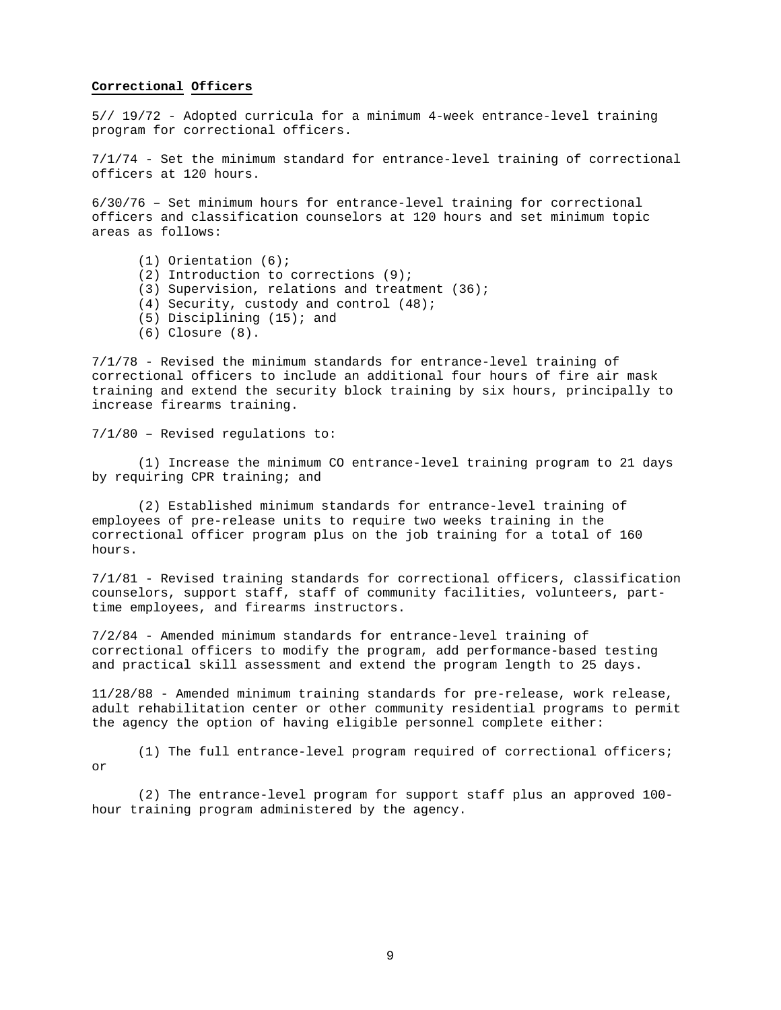### **Correctional Officers**

5// 19/72 - Adopted curricula for a minimum 4-week entrance-level training program for correctional officers.

7/1/74 - Set the minimum standard for entrance-level training of correctional officers at 120 hours.

6/30/76 – Set minimum hours for entrance-level training for correctional officers and classification counselors at 120 hours and set minimum topic areas as follows:

 (1) Orientation (6); (2) Introduction to corrections (9); (3) Supervision, relations and treatment (36); (4) Security, custody and control (48); (5) Disciplining (15); and (6) Closure (8).

7/1/78 - Revised the minimum standards for entrance-level training of correctional officers to include an additional four hours of fire air mask training and extend the security block training by six hours, principally to increase firearms training.

7/1/80 – Revised regulations to:

(1) Increase the minimum CO entrance-level training program to 21 days by requiring CPR training; and

(2) Established minimum standards for entrance-level training of employees of pre-release units to require two weeks training in the correctional officer program plus on the job training for a total of 160 hours.

7/1/81 - Revised training standards for correctional officers, classification counselors, support staff, staff of community facilities, volunteers, parttime employees, and firearms instructors.

7/2/84 - Amended minimum standards for entrance-level training of correctional officers to modify the program, add performance-based testing and practical skill assessment and extend the program length to 25 days.

11/28/88 - Amended minimum training standards for pre-release, work release, adult rehabilitation center or other community residential programs to permit the agency the option of having eligible personnel complete either:

 (1) The full entrance-level program required of correctional officers; or

 (2) The entrance-level program for support staff plus an approved 100 hour training program administered by the agency.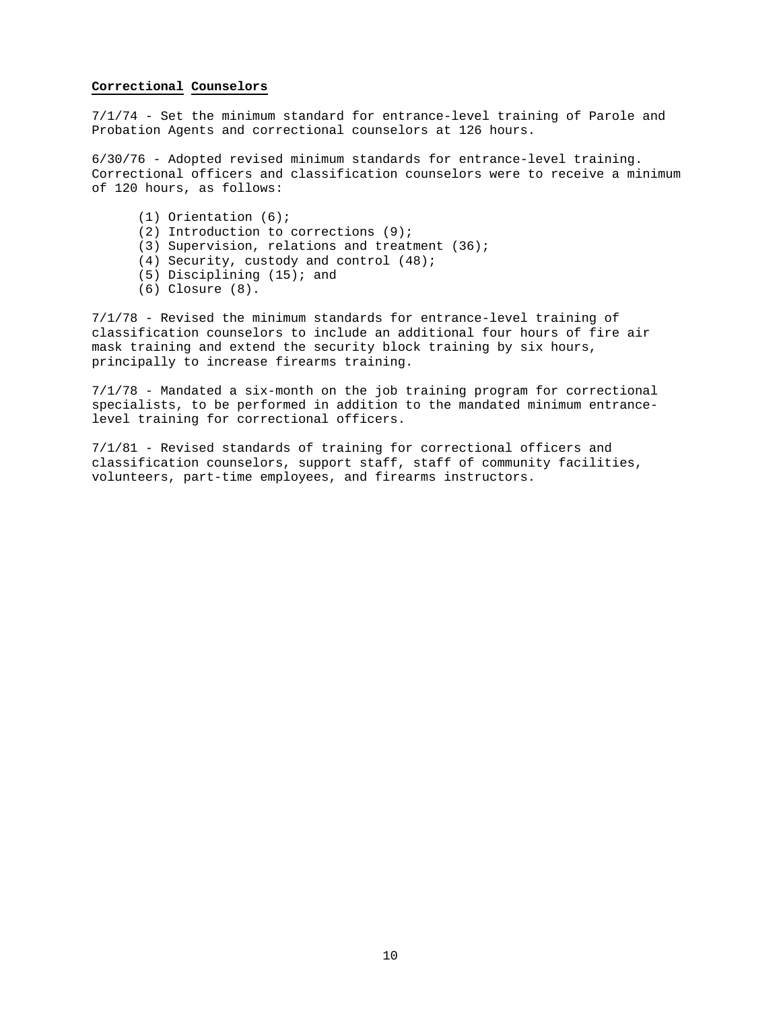### **Correctional Counselors**

7/1/74 - Set the minimum standard for entrance-level training of Parole and Probation Agents and correctional counselors at 126 hours.

6/30/76 - Adopted revised minimum standards for entrance-level training. Correctional officers and classification counselors were to receive a minimum of 120 hours, as follows:

 (1) Orientation (6); (2) Introduction to corrections (9); (3) Supervision, relations and treatment (36); (4) Security, custody and control (48); (5) Disciplining (15); and (6) Closure (8).

7/1/78 - Revised the minimum standards for entrance-level training of classification counselors to include an additional four hours of fire air mask training and extend the security block training by six hours, principally to increase firearms training.

7/1/78 - Mandated a six-month on the job training program for correctional specialists, to be performed in addition to the mandated minimum entrancelevel training for correctional officers.

7/1/81 - Revised standards of training for correctional officers and classification counselors, support staff, staff of community facilities, volunteers, part-time employees, and firearms instructors.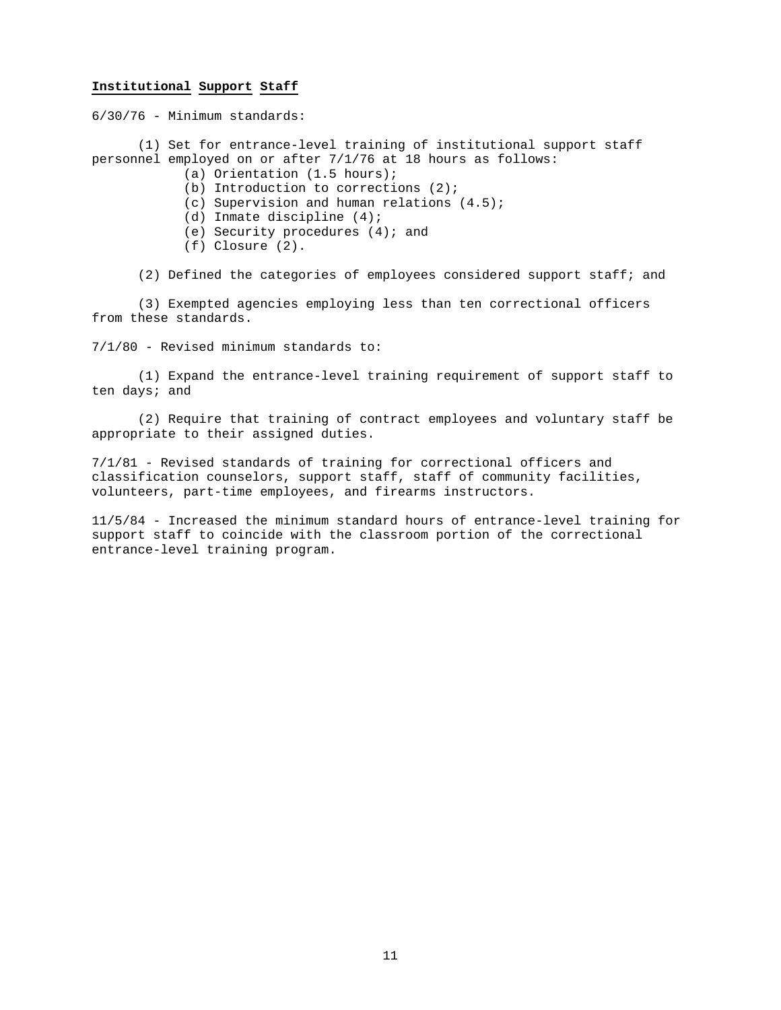### **Institutional Support Staff**

6/30/76 - Minimum standards:

 (1) Set for entrance-level training of institutional support staff personnel employed on or after 7/1/76 at 18 hours as follows:

- (a) Orientation (1.5 hours);
- (b) Introduction to corrections (2);
- (c) Supervision and human relations (4.5);
- (d) Inmate discipline (4);
- (e) Security procedures (4); and
- (f) Closure (2).

(2) Defined the categories of employees considered support staff; and

 (3) Exempted agencies employing less than ten correctional officers from these standards.

7/1/80 - Revised minimum standards to:

 (1) Expand the entrance-level training requirement of support staff to ten days; and

 (2) Require that training of contract employees and voluntary staff be appropriate to their assigned duties.

7/1/81 - Revised standards of training for correctional officers and classification counselors, support staff, staff of community facilities, volunteers, part-time employees, and firearms instructors.

11/5/84 - Increased the minimum standard hours of entrance-level training for support staff to coincide with the classroom portion of the correctional entrance-level training program.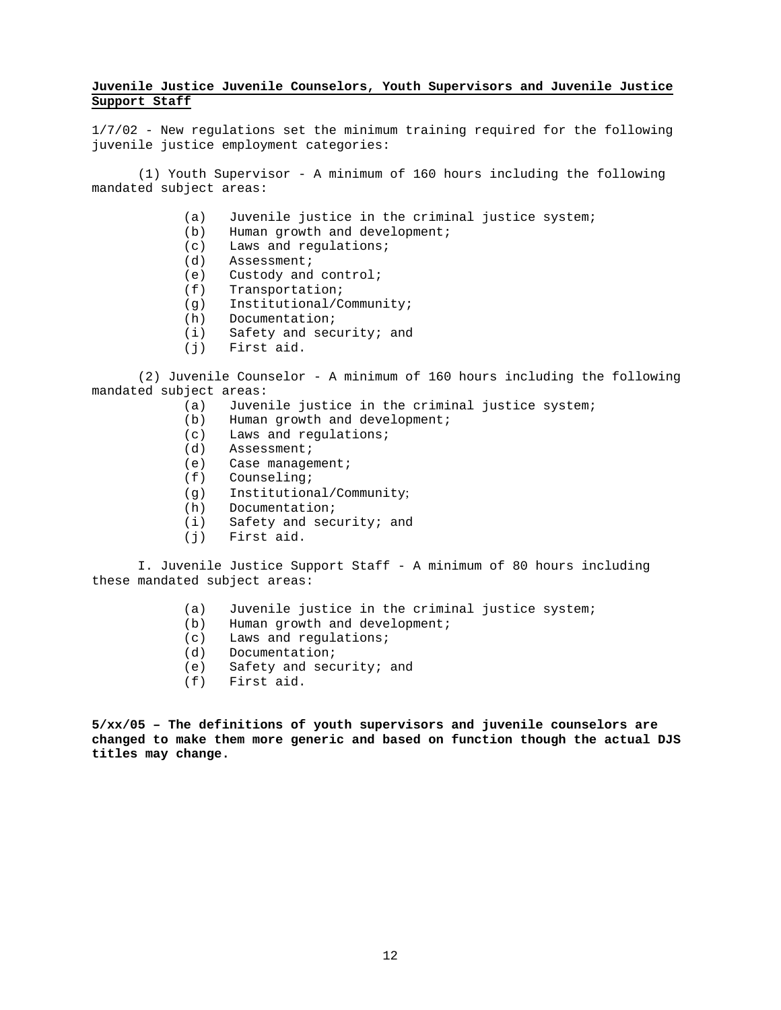## **Juvenile Justice Juvenile Counselors, Youth Supervisors and Juvenile Justice Support Staff**

1/7/02 - New regulations set the minimum training required for the following juvenile justice employment categories:

 (1) Youth Supervisor - A minimum of 160 hours including the following mandated subject areas:

- (a) Juvenile justice in the criminal justice system;
- (b) Human growth and development;
- (c) Laws and regulations;
- (d) Assessment;
- (e) Custody and control;
- (f) Transportation;
- (g) Institutional/Community;
- (h) Documentation;
- (i) Safety and security; and
- (j) First aid.

(2) Juvenile Counselor - A minimum of 160 hours including the following mandated subject areas:

- (a) Juvenile justice in the criminal justice system;
- (b) Human growth and development;
- (c) Laws and regulations;
- (d) Assessment;
- (e) Case management;
- (f) Counseling;
- (g) Institutional/Community;
- (h) Documentation;
- (i) Safety and security; and
- (j) First aid.

I. Juvenile Justice Support Staff - A minimum of 80 hours including these mandated subject areas:

- (a) Juvenile justice in the criminal justice system;
- (b) Human growth and development;
- (c) Laws and regulations;
- (d) Documentation;
- (e) Safety and security; and
- (f) First aid.

**5/xx/05 – The definitions of youth supervisors and juvenile counselors are changed to make them more generic and based on function though the actual DJS titles may change.**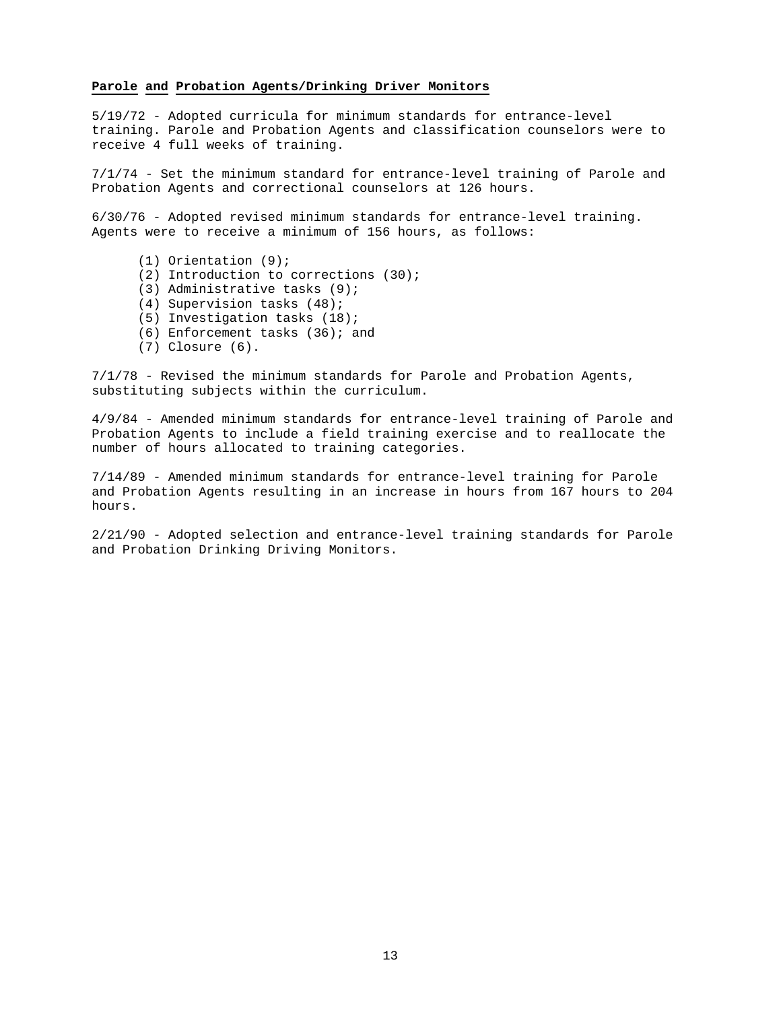### **Parole and Probation Agents/Drinking Driver Monitors**

5/19/72 - Adopted curricula for minimum standards for entrance-level training. Parole and Probation Agents and classification counselors were to receive 4 full weeks of training.

7/1/74 - Set the minimum standard for entrance-level training of Parole and Probation Agents and correctional counselors at 126 hours.

6/30/76 - Adopted revised minimum standards for entrance-level training. Agents were to receive a minimum of 156 hours, as follows:

- (1) Orientation (9);
- (2) Introduction to corrections (30);
- (3) Administrative tasks (9);
- (4) Supervision tasks (48);
- (5) Investigation tasks (18);
- (6) Enforcement tasks (36); and
- (7) Closure (6).

7/1/78 - Revised the minimum standards for Parole and Probation Agents, substituting subjects within the curriculum.

4/9/84 - Amended minimum standards for entrance-level training of Parole and Probation Agents to include a field training exercise and to reallocate the number of hours allocated to training categories.

7/14/89 - Amended minimum standards for entrance-level training for Parole and Probation Agents resulting in an increase in hours from 167 hours to 204 hours.

2/21/90 - Adopted selection and entrance-level training standards for Parole and Probation Drinking Driving Monitors.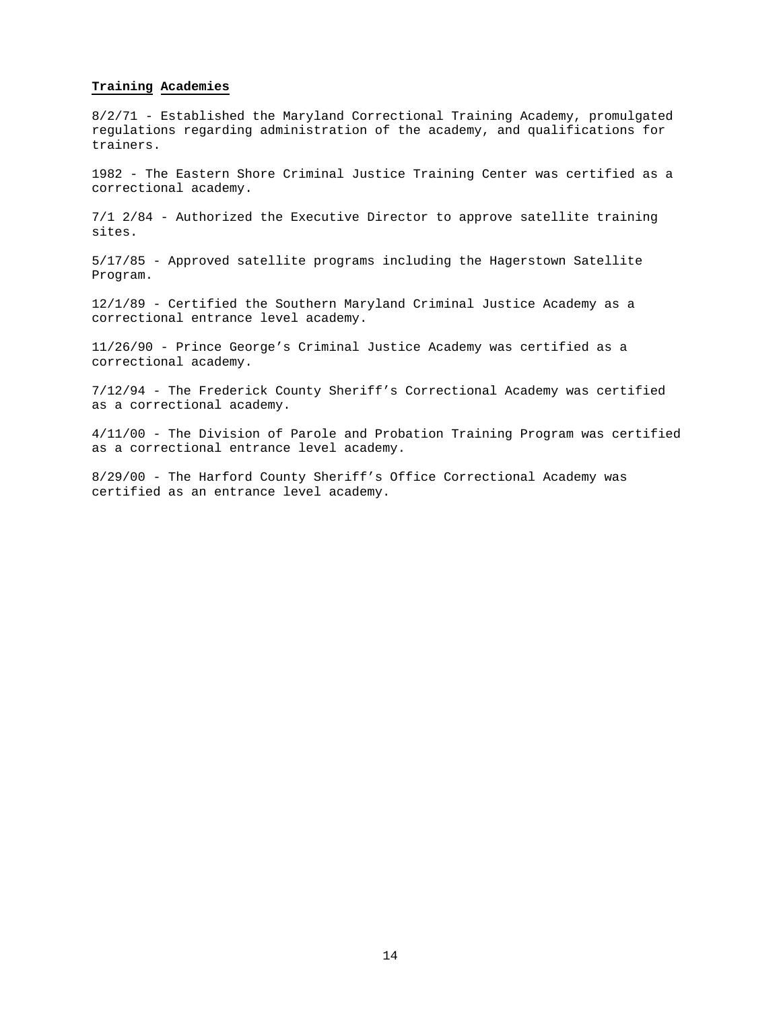### **Training Academies**

8/2/71 - Established the Maryland Correctional Training Academy, promulgated regulations regarding administration of the academy, and qualifications for trainers.

1982 - The Eastern Shore Criminal Justice Training Center was certified as a correctional academy.

7/1 2/84 - Authorized the Executive Director to approve satellite training sites.

5/17/85 - Approved satellite programs including the Hagerstown Satellite Program.

12/1/89 - Certified the Southern Maryland Criminal Justice Academy as a correctional entrance level academy.

11/26/90 - Prince George's Criminal Justice Academy was certified as a correctional academy.

7/12/94 - The Frederick County Sheriff's Correctional Academy was certified as a correctional academy.

4/11/00 - The Division of Parole and Probation Training Program was certified as a correctional entrance level academy.

8/29/00 - The Harford County Sheriff's Office Correctional Academy was certified as an entrance level academy.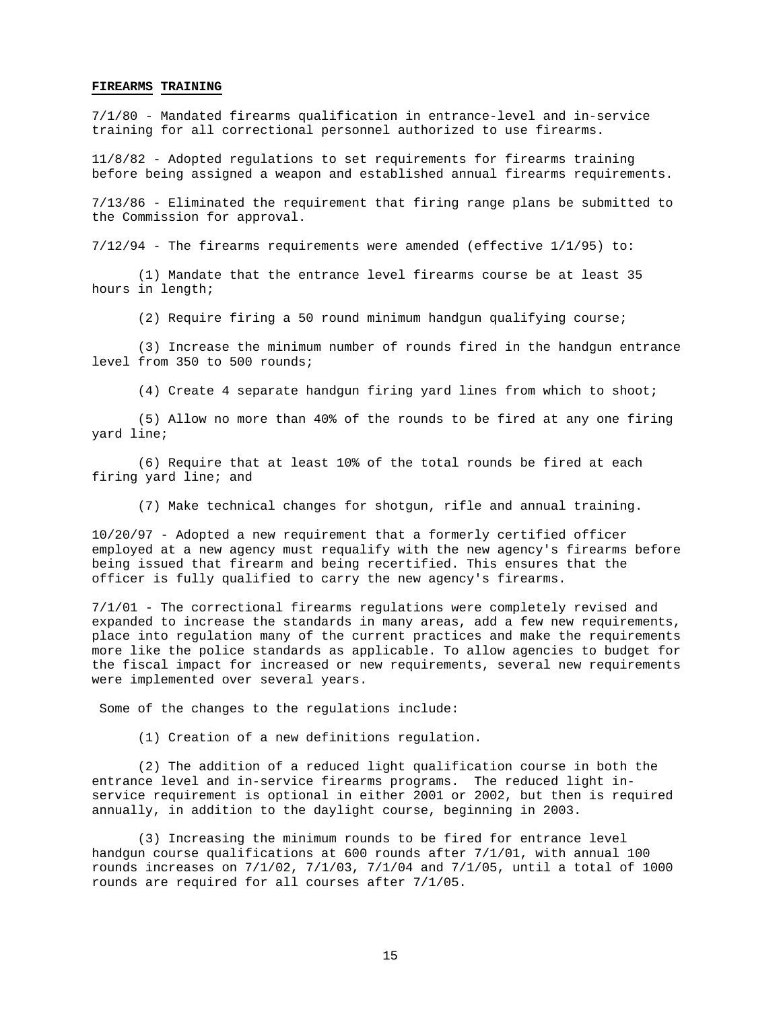#### **FIREARMS TRAINING**

7/1/80 - Mandated firearms qualification in entrance-level and in-service training for all correctional personnel authorized to use firearms.

11/8/82 - Adopted regulations to set requirements for firearms training before being assigned a weapon and established annual firearms requirements.

7/13/86 - Eliminated the requirement that firing range plans be submitted to the Commission for approval.

7/12/94 - The firearms requirements were amended (effective 1/1/95) to:

 (1) Mandate that the entrance level firearms course be at least 35 hours in length;

(2) Require firing a 50 round minimum handgun qualifying course;

 (3) Increase the minimum number of rounds fired in the handgun entrance level from 350 to 500 rounds;

(4) Create 4 separate handgun firing yard lines from which to shoot;

 (5) Allow no more than 40% of the rounds to be fired at any one firing yard line;

 (6) Require that at least 10% of the total rounds be fired at each firing yard line; and

(7) Make technical changes for shotgun, rifle and annual training.

10/20/97 - Adopted a new requirement that a formerly certified officer employed at a new agency must requalify with the new agency's firearms before being issued that firearm and being recertified. This ensures that the officer is fully qualified to carry the new agency's firearms.

7/1/01 - The correctional firearms regulations were completely revised and expanded to increase the standards in many areas, add a few new requirements, place into regulation many of the current practices and make the requirements more like the police standards as applicable. To allow agencies to budget for the fiscal impact for increased or new requirements, several new requirements were implemented over several years.

Some of the changes to the regulations include:

(1) Creation of a new definitions regulation.

 (2) The addition of a reduced light qualification course in both the entrance level and in-service firearms programs. The reduced light inservice requirement is optional in either 2001 or 2002, but then is required annually, in addition to the daylight course, beginning in 2003.

 (3) Increasing the minimum rounds to be fired for entrance level handgun course qualifications at 600 rounds after 7/1/01, with annual 100 rounds increases on 7/1/02, 7/1/03, 7/1/04 and 7/1/05, until a total of 1000 rounds are required for all courses after 7/1/05.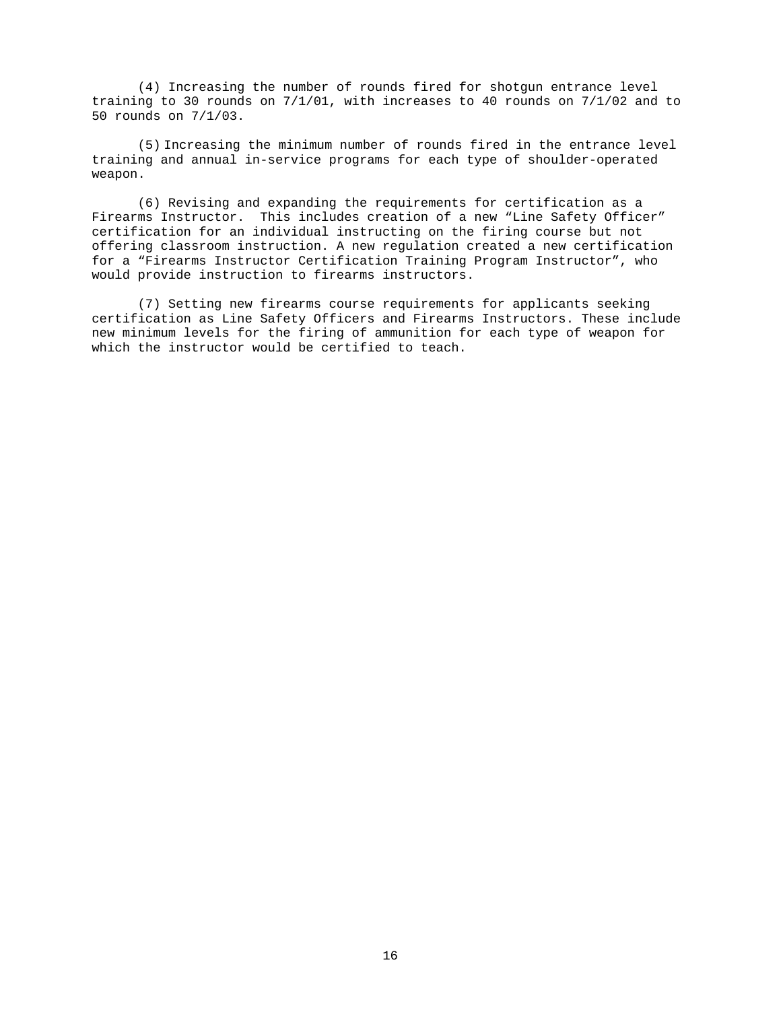(4) Increasing the number of rounds fired for shotgun entrance level training to 30 rounds on 7/1/01, with increases to 40 rounds on 7/1/02 and to 50 rounds on 7/1/03.

(5) Increasing the minimum number of rounds fired in the entrance level training and annual in-service programs for each type of shoulder-operated weapon.

 (6) Revising and expanding the requirements for certification as a Firearms Instructor. This includes creation of a new "Line Safety Officer" certification for an individual instructing on the firing course but not offering classroom instruction. A new regulation created a new certification for a "Firearms Instructor Certification Training Program Instructor", who would provide instruction to firearms instructors.

 (7) Setting new firearms course requirements for applicants seeking certification as Line Safety Officers and Firearms Instructors. These include new minimum levels for the firing of ammunition for each type of weapon for which the instructor would be certified to teach.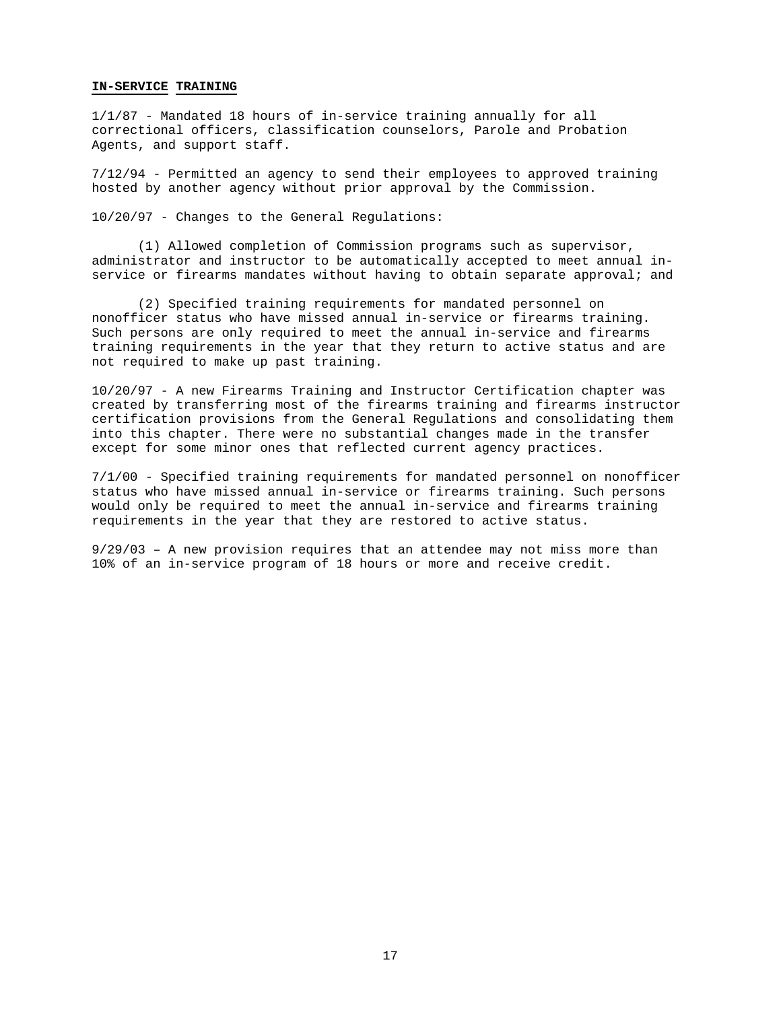#### **IN-SERVICE TRAINING**

1/1/87 - Mandated 18 hours of in-service training annually for all correctional officers, classification counselors, Parole and Probation Agents, and support staff.

7/12/94 - Permitted an agency to send their employees to approved training hosted by another agency without prior approval by the Commission.

10/20/97 - Changes to the General Regulations:

 (1) Allowed completion of Commission programs such as supervisor, administrator and instructor to be automatically accepted to meet annual inservice or firearms mandates without having to obtain separate approval; and

 (2) Specified training requirements for mandated personnel on nonofficer status who have missed annual in-service or firearms training. Such persons are only required to meet the annual in-service and firearms training requirements in the year that they return to active status and are not required to make up past training.

10/20/97 - A new Firearms Training and Instructor Certification chapter was created by transferring most of the firearms training and firearms instructor certification provisions from the General Regulations and consolidating them into this chapter. There were no substantial changes made in the transfer except for some minor ones that reflected current agency practices.

7/1/00 - Specified training requirements for mandated personnel on nonofficer status who have missed annual in-service or firearms training. Such persons would only be required to meet the annual in-service and firearms training requirements in the year that they are restored to active status.

9/29/03 – A new provision requires that an attendee may not miss more than 10% of an in-service program of 18 hours or more and receive credit.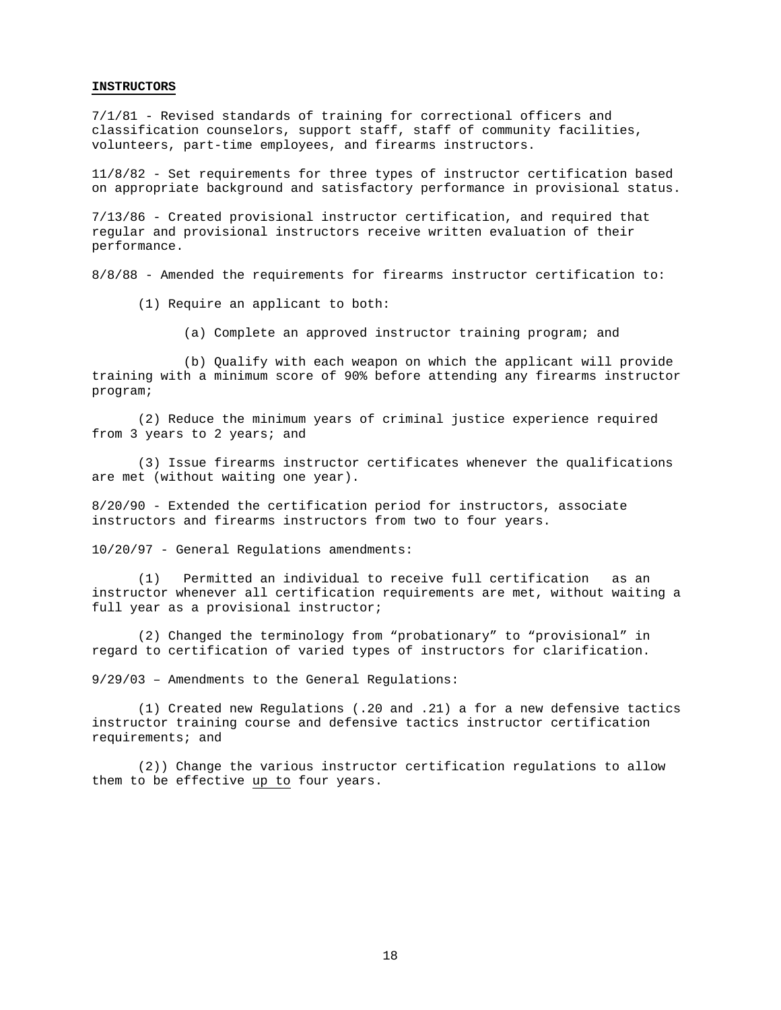#### **INSTRUCTORS**

7/1/81 - Revised standards of training for correctional officers and classification counselors, support staff, staff of community facilities, volunteers, part-time employees, and firearms instructors.

11/8/82 - Set requirements for three types of instructor certification based on appropriate background and satisfactory performance in provisional status.

7/13/86 - Created provisional instructor certification, and required that regular and provisional instructors receive written evaluation of their performance.

8/8/88 - Amended the requirements for firearms instructor certification to:

(1) Require an applicant to both:

(a) Complete an approved instructor training program; and

 (b) Qualify with each weapon on which the applicant will provide training with a minimum score of 90% before attending any firearms instructor program;

 (2) Reduce the minimum years of criminal justice experience required from 3 years to 2 years; and

 (3) Issue firearms instructor certificates whenever the qualifications are met (without waiting one year).

8/20/90 - Extended the certification period for instructors, associate instructors and firearms instructors from two to four years.

10/20/97 - General Regulations amendments:

 (1) Permitted an individual to receive full certification as an instructor whenever all certification requirements are met, without waiting a full year as a provisional instructor;

 (2) Changed the terminology from "probationary" to "provisional" in regard to certification of varied types of instructors for clarification.

9/29/03 – Amendments to the General Regulations:

(1) Created new Regulations (.20 and .21) a for a new defensive tactics instructor training course and defensive tactics instructor certification requirements; and

(2)) Change the various instructor certification regulations to allow them to be effective up to four years.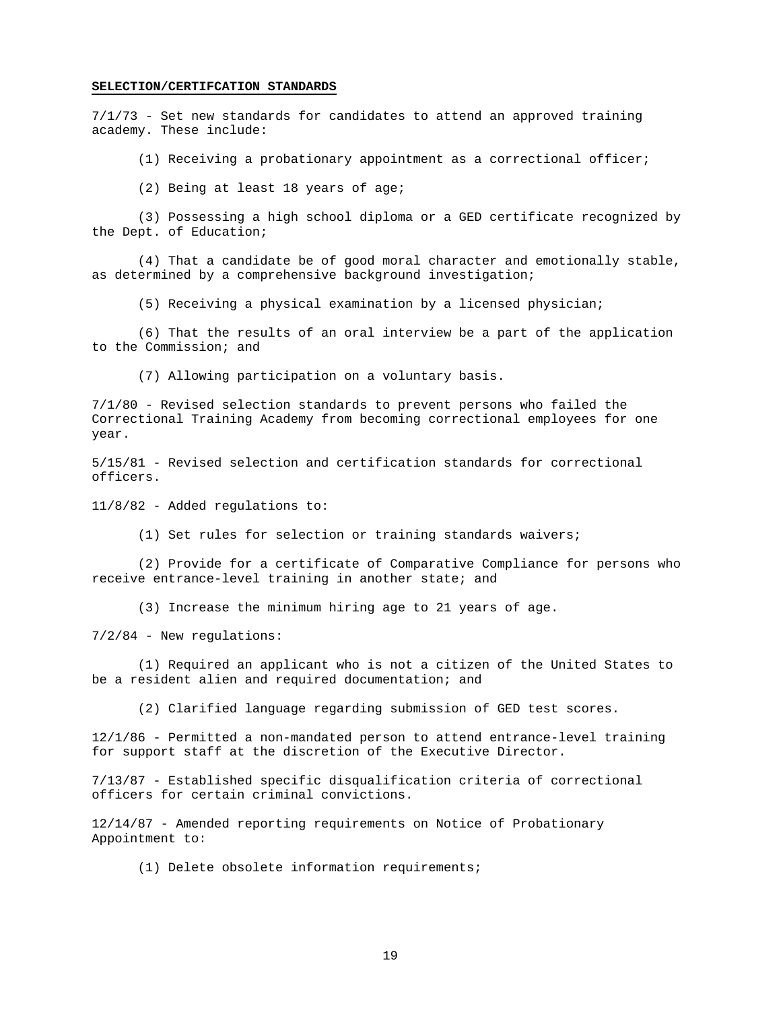#### **SELECTION/CERTIFCATION STANDARDS**

7/1/73 - Set new standards for candidates to attend an approved training academy. These include:

(1) Receiving a probationary appointment as a correctional officer;

(2) Being at least 18 years of age;

 (3) Possessing a high school diploma or a GED certificate recognized by the Dept. of Education;

 (4) That a candidate be of good moral character and emotionally stable, as determined by a comprehensive background investigation;

(5) Receiving a physical examination by a licensed physician;

 (6) That the results of an oral interview be a part of the application to the Commission; and

(7) Allowing participation on a voluntary basis.

7/1/80 - Revised selection standards to prevent persons who failed the Correctional Training Academy from becoming correctional employees for one year.

5/15/81 - Revised selection and certification standards for correctional officers.

11/8/82 - Added regulations to:

(1) Set rules for selection or training standards waivers;

 (2) Provide for a certificate of Comparative Compliance for persons who receive entrance-level training in another state; and

(3) Increase the minimum hiring age to 21 years of age.

7/2/84 - New regulations:

 (1) Required an applicant who is not a citizen of the United States to be a resident alien and required documentation; and

(2) Clarified language regarding submission of GED test scores.

12/1/86 - Permitted a non-mandated person to attend entrance-level training for support staff at the discretion of the Executive Director.

7/13/87 - Established specific disqualification criteria of correctional officers for certain criminal convictions.

12/14/87 - Amended reporting requirements on Notice of Probationary Appointment to:

(1) Delete obsolete information requirements;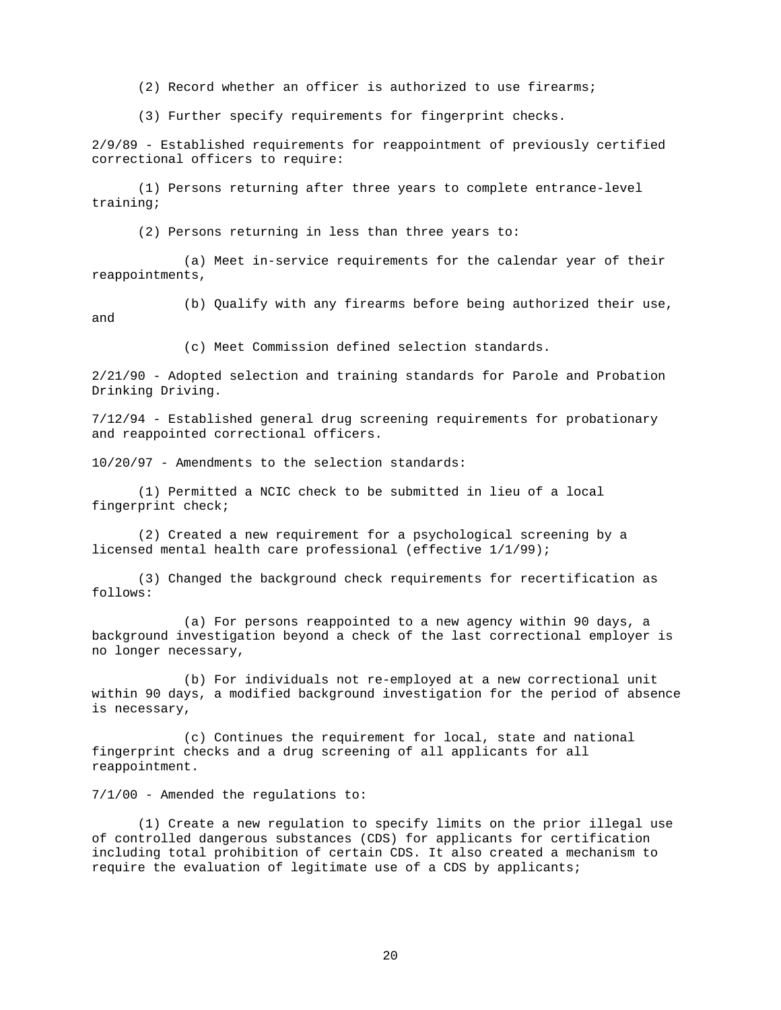(2) Record whether an officer is authorized to use firearms;

(3) Further specify requirements for fingerprint checks.

2/9/89 - Established requirements for reappointment of previously certified correctional officers to require:

 (1) Persons returning after three years to complete entrance-level training;

(2) Persons returning in less than three years to:

 (a) Meet in-service requirements for the calendar year of their reappointments,

 (b) Qualify with any firearms before being authorized their use, and

(c) Meet Commission defined selection standards.

2/21/90 - Adopted selection and training standards for Parole and Probation Drinking Driving.

7/12/94 - Established general drug screening requirements for probationary and reappointed correctional officers.

10/20/97 - Amendments to the selection standards:

 (1) Permitted a NCIC check to be submitted in lieu of a local fingerprint check;

 (2) Created a new requirement for a psychological screening by a licensed mental health care professional (effective 1/1/99);

 (3) Changed the background check requirements for recertification as follows:

 (a) For persons reappointed to a new agency within 90 days, a background investigation beyond a check of the last correctional employer is no longer necessary,

 (b) For individuals not re-employed at a new correctional unit within 90 days, a modified background investigation for the period of absence is necessary,

 (c) Continues the requirement for local, state and national fingerprint checks and a drug screening of all applicants for all reappointment.

7/1/00 - Amended the regulations to:

 (1) Create a new regulation to specify limits on the prior illegal use of controlled dangerous substances (CDS) for applicants for certification including total prohibition of certain CDS. It also created a mechanism to require the evaluation of legitimate use of a CDS by applicants;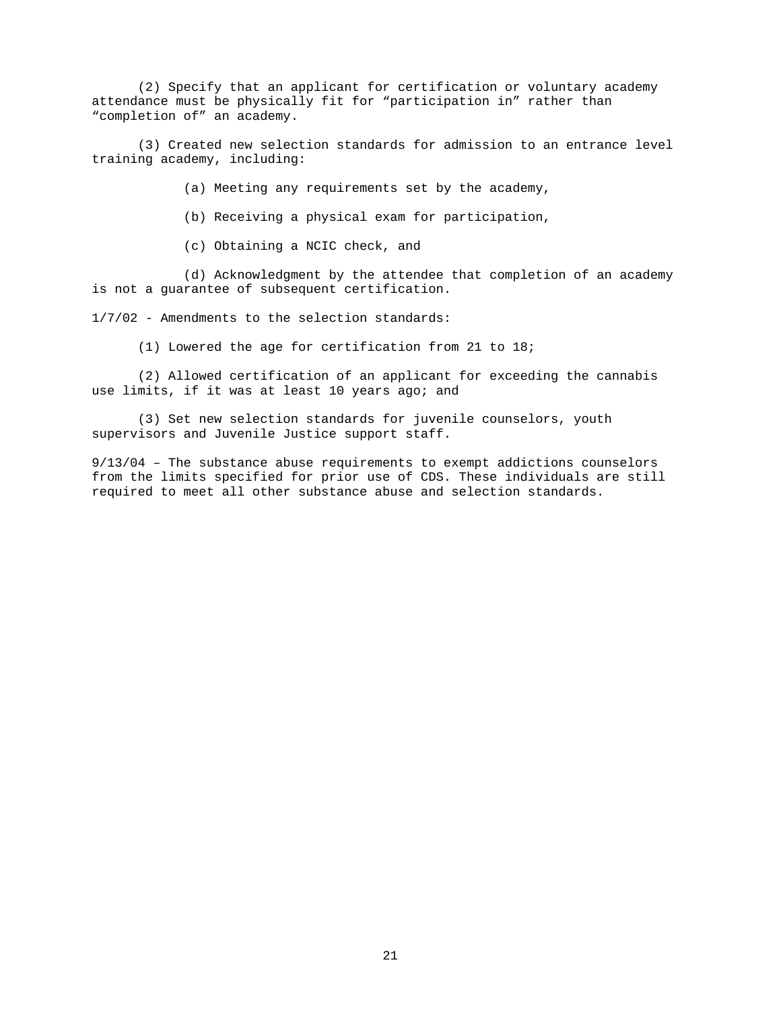(2) Specify that an applicant for certification or voluntary academy attendance must be physically fit for "participation in" rather than "completion of" an academy.

 (3) Created new selection standards for admission to an entrance level training academy, including:

(a) Meeting any requirements set by the academy,

(b) Receiving a physical exam for participation,

(c) Obtaining a NCIC check, and

 (d) Acknowledgment by the attendee that completion of an academy is not a guarantee of subsequent certification.

1/7/02 - Amendments to the selection standards:

(1) Lowered the age for certification from 21 to 18;

 (2) Allowed certification of an applicant for exceeding the cannabis use limits, if it was at least 10 years ago; and

 (3) Set new selection standards for juvenile counselors, youth supervisors and Juvenile Justice support staff.

9/13/04 – The substance abuse requirements to exempt addictions counselors from the limits specified for prior use of CDS. These individuals are still required to meet all other substance abuse and selection standards.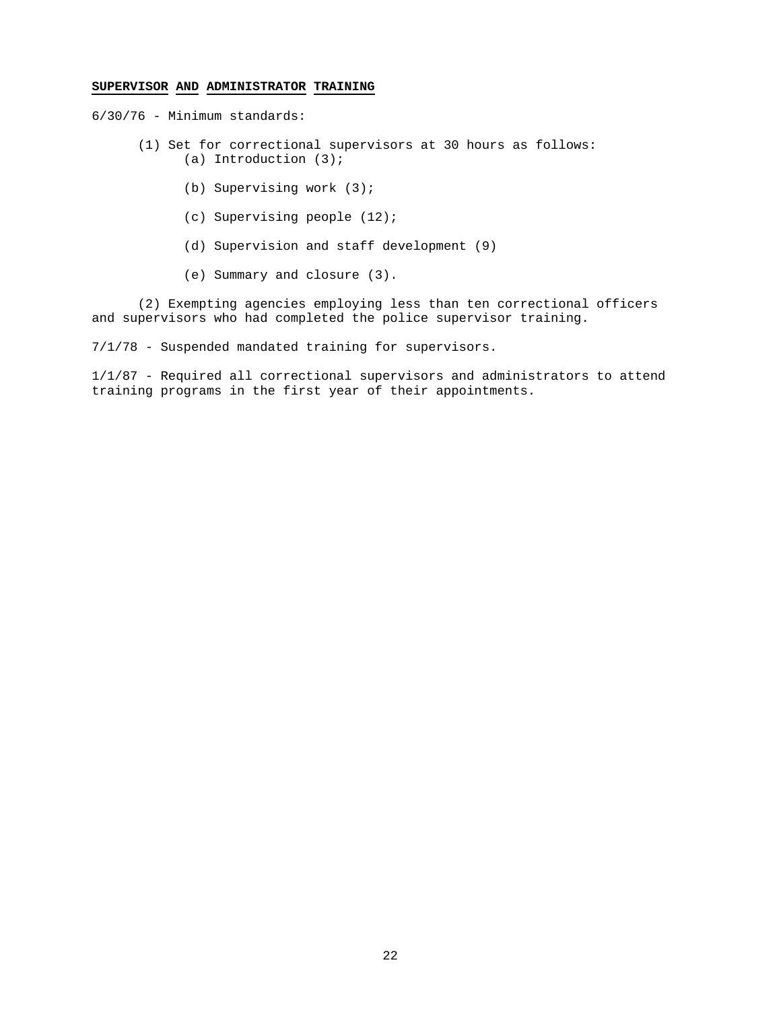### **SUPERVISOR AND ADMINISTRATOR TRAINING**

6/30/76 - Minimum standards:

- (1) Set for correctional supervisors at 30 hours as follows: (a) Introduction (3);
	- (b) Supervising work (3);
	- (c) Supervising people (12);
	- (d) Supervision and staff development (9)
	- (e) Summary and closure (3).

 (2) Exempting agencies employing less than ten correctional officers and supervisors who had completed the police supervisor training.

7/1/78 - Suspended mandated training for supervisors.

1/1/87 - Required all correctional supervisors and administrators to attend training programs in the first year of their appointments.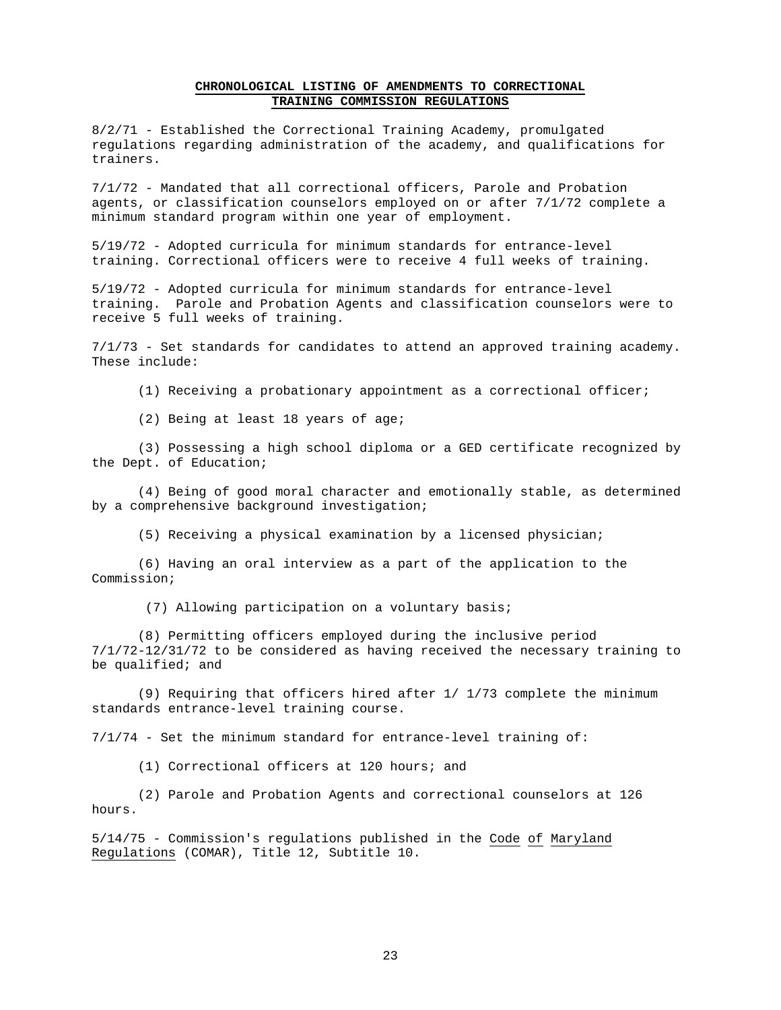### **CHRONOLOGICAL LISTING OF AMENDMENTS TO CORRECTIONAL TRAINING COMMISSION REGULATIONS**

8/2/71 - Established the Correctional Training Academy, promulgated regulations regarding administration of the academy, and qualifications for trainers.

7/1/72 - Mandated that all correctional officers, Parole and Probation agents, or classification counselors employed on or after 7/1/72 complete a minimum standard program within one year of employment.

5/19/72 - Adopted curricula for minimum standards for entrance-level training. Correctional officers were to receive 4 full weeks of training.

5/19/72 - Adopted curricula for minimum standards for entrance-level training. Parole and Probation Agents and classification counselors were to receive 5 full weeks of training.

7/1/73 - Set standards for candidates to attend an approved training academy. These include:

(1) Receiving a probationary appointment as a correctional officer;

(2) Being at least 18 years of age;

 (3) Possessing a high school diploma or a GED certificate recognized by the Dept. of Education;

 (4) Being of good moral character and emotionally stable, as determined by a comprehensive background investigation;

(5) Receiving a physical examination by a licensed physician;

 (6) Having an oral interview as a part of the application to the Commission;

(7) Allowing participation on a voluntary basis;

 (8) Permitting officers employed during the inclusive period 7/1/72-12/31/72 to be considered as having received the necessary training to be qualified; and

 (9) Requiring that officers hired after 1/ 1/73 complete the minimum standards entrance-level training course.

7/1/74 - Set the minimum standard for entrance-level training of:

(1) Correctional officers at 120 hours; and

 (2) Parole and Probation Agents and correctional counselors at 126 hours.

5/14/75 - Commission's regulations published in the Code of Maryland Regulations (COMAR), Title 12, Subtitle 10.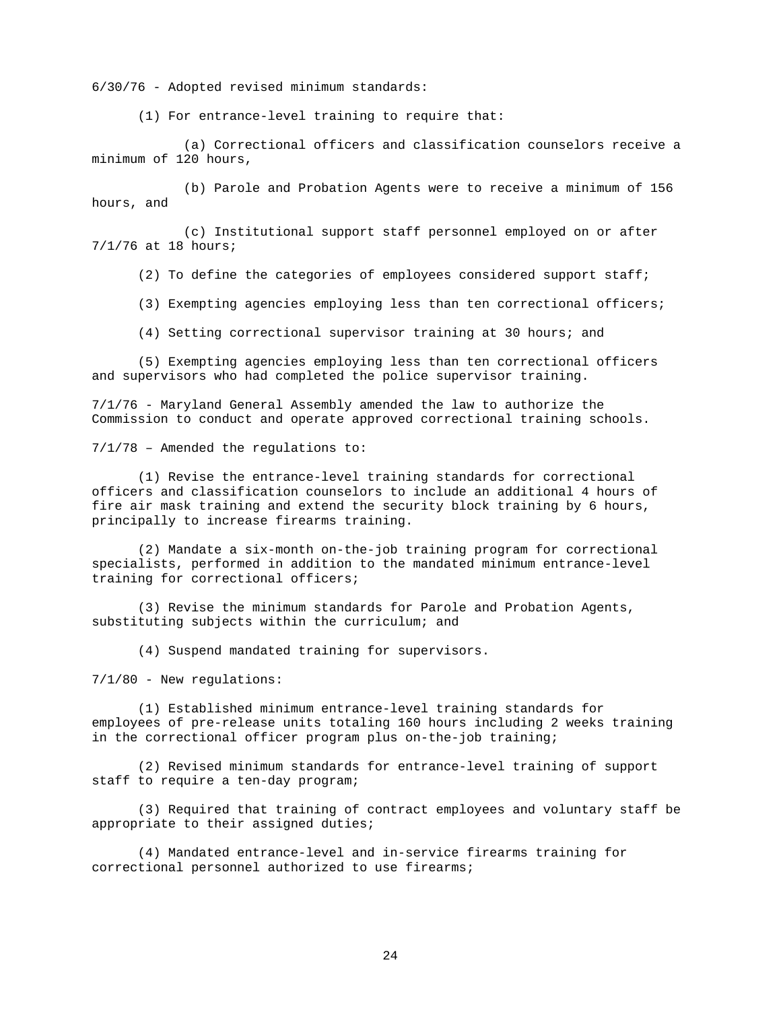6/30/76 - Adopted revised minimum standards:

(1) For entrance-level training to require that:

 (a) Correctional officers and classification counselors receive a minimum of 120 hours,

 (b) Parole and Probation Agents were to receive a minimum of 156 hours, and

 (c) Institutional support staff personnel employed on or after 7/1/76 at 18 hours;

(2) To define the categories of employees considered support staff;

(3) Exempting agencies employing less than ten correctional officers;

(4) Setting correctional supervisor training at 30 hours; and

 (5) Exempting agencies employing less than ten correctional officers and supervisors who had completed the police supervisor training.

7/1/76 - Maryland General Assembly amended the law to authorize the Commission to conduct and operate approved correctional training schools.

7/1/78 – Amended the regulations to:

(1) Revise the entrance-level training standards for correctional officers and classification counselors to include an additional 4 hours of fire air mask training and extend the security block training by 6 hours, principally to increase firearms training.

(2) Mandate a six-month on-the-job training program for correctional specialists, performed in addition to the mandated minimum entrance-level training for correctional officers;

 (3) Revise the minimum standards for Parole and Probation Agents, substituting subjects within the curriculum; and

(4) Suspend mandated training for supervisors.

7/1/80 - New regulations:

 (1) Established minimum entrance-level training standards for employees of pre-release units totaling 160 hours including 2 weeks training in the correctional officer program plus on-the-job training;

 (2) Revised minimum standards for entrance-level training of support staff to require a ten-day program;

 (3) Required that training of contract employees and voluntary staff be appropriate to their assigned duties;

 (4) Mandated entrance-level and in-service firearms training for correctional personnel authorized to use firearms;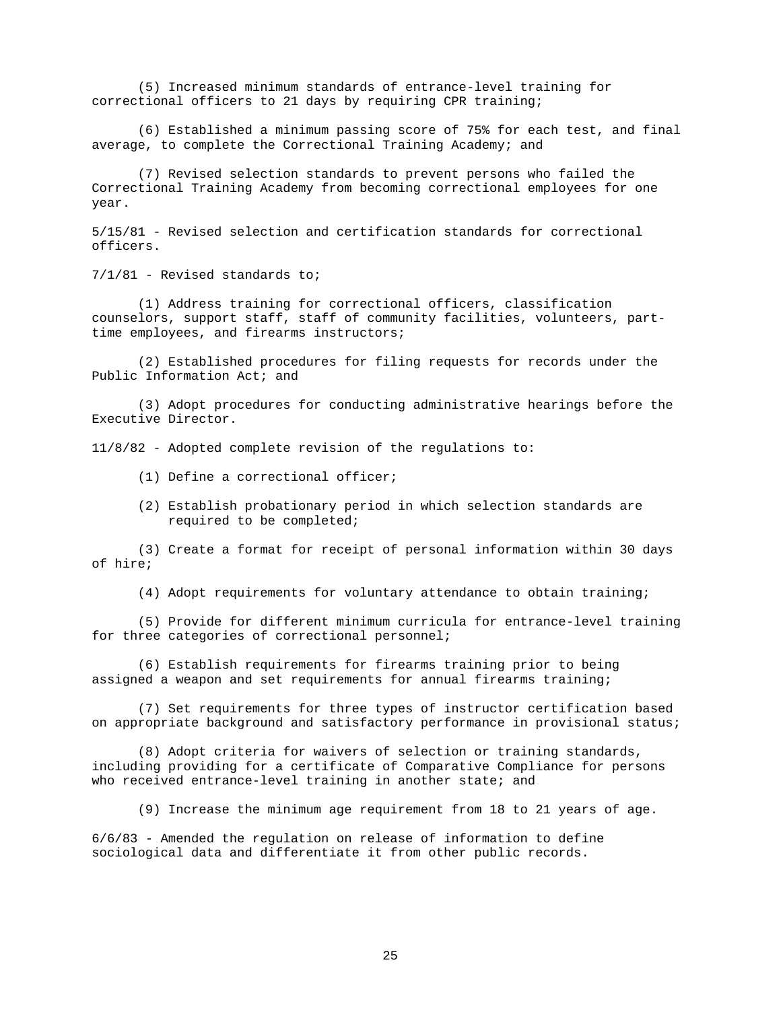(5) Increased minimum standards of entrance-level training for correctional officers to 21 days by requiring CPR training;

 (6) Established a minimum passing score of 75% for each test, and final average, to complete the Correctional Training Academy; and

 (7) Revised selection standards to prevent persons who failed the Correctional Training Academy from becoming correctional employees for one year.

5/15/81 - Revised selection and certification standards for correctional officers.

7/1/81 - Revised standards to;

 (1) Address training for correctional officers, classification counselors, support staff, staff of community facilities, volunteers, parttime employees, and firearms instructors;

 (2) Established procedures for filing requests for records under the Public Information Act; and

 (3) Adopt procedures for conducting administrative hearings before the Executive Director.

11/8/82 - Adopted complete revision of the regulations to:

- (1) Define a correctional officer;
- (2) Establish probationary period in which selection standards are required to be completed;

 (3) Create a format for receipt of personal information within 30 days of hire;

(4) Adopt requirements for voluntary attendance to obtain training;

 (5) Provide for different minimum curricula for entrance-level training for three categories of correctional personnel;

 (6) Establish requirements for firearms training prior to being assigned a weapon and set requirements for annual firearms training;

 (7) Set requirements for three types of instructor certification based on appropriate background and satisfactory performance in provisional status;

 (8) Adopt criteria for waivers of selection or training standards, including providing for a certificate of Comparative Compliance for persons who received entrance-level training in another state; and

(9) Increase the minimum age requirement from 18 to 21 years of age.

6/6/83 - Amended the regulation on release of information to define sociological data and differentiate it from other public records.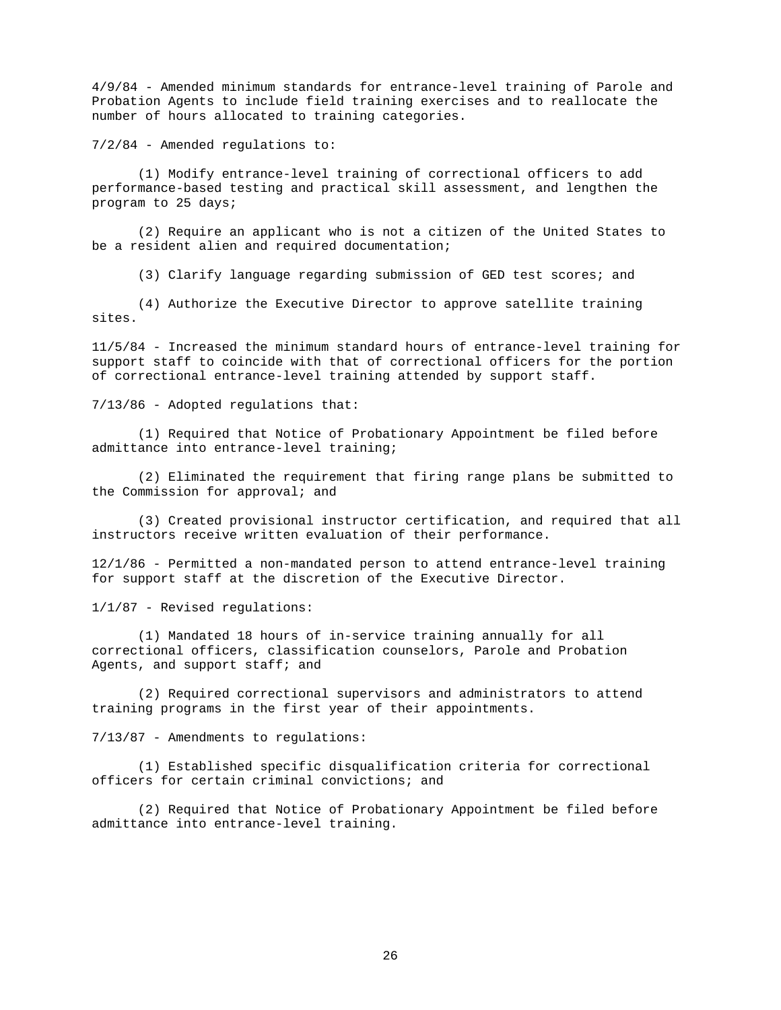4/9/84 - Amended minimum standards for entrance-level training of Parole and Probation Agents to include field training exercises and to reallocate the number of hours allocated to training categories.

7/2/84 - Amended regulations to:

 (1) Modify entrance-level training of correctional officers to add performance-based testing and practical skill assessment, and lengthen the program to 25 days;

 (2) Require an applicant who is not a citizen of the United States to be a resident alien and required documentation;

(3) Clarify language regarding submission of GED test scores; and

 (4) Authorize the Executive Director to approve satellite training sites.

11/5/84 - Increased the minimum standard hours of entrance-level training for support staff to coincide with that of correctional officers for the portion of correctional entrance-level training attended by support staff.

7/13/86 - Adopted regulations that:

 (1) Required that Notice of Probationary Appointment be filed before admittance into entrance-level training;

(2) Eliminated the requirement that firing range plans be submitted to the Commission for approval; and

 (3) Created provisional instructor certification, and required that all instructors receive written evaluation of their performance.

12/1/86 - Permitted a non-mandated person to attend entrance-level training for support staff at the discretion of the Executive Director.

1/1/87 - Revised regulations:

 (1) Mandated 18 hours of in-service training annually for all correctional officers, classification counselors, Parole and Probation Agents, and support staff; and

 (2) Required correctional supervisors and administrators to attend training programs in the first year of their appointments.

7/13/87 - Amendments to regulations:

 (1) Established specific disqualification criteria for correctional officers for certain criminal convictions; and

 (2) Required that Notice of Probationary Appointment be filed before admittance into entrance-level training.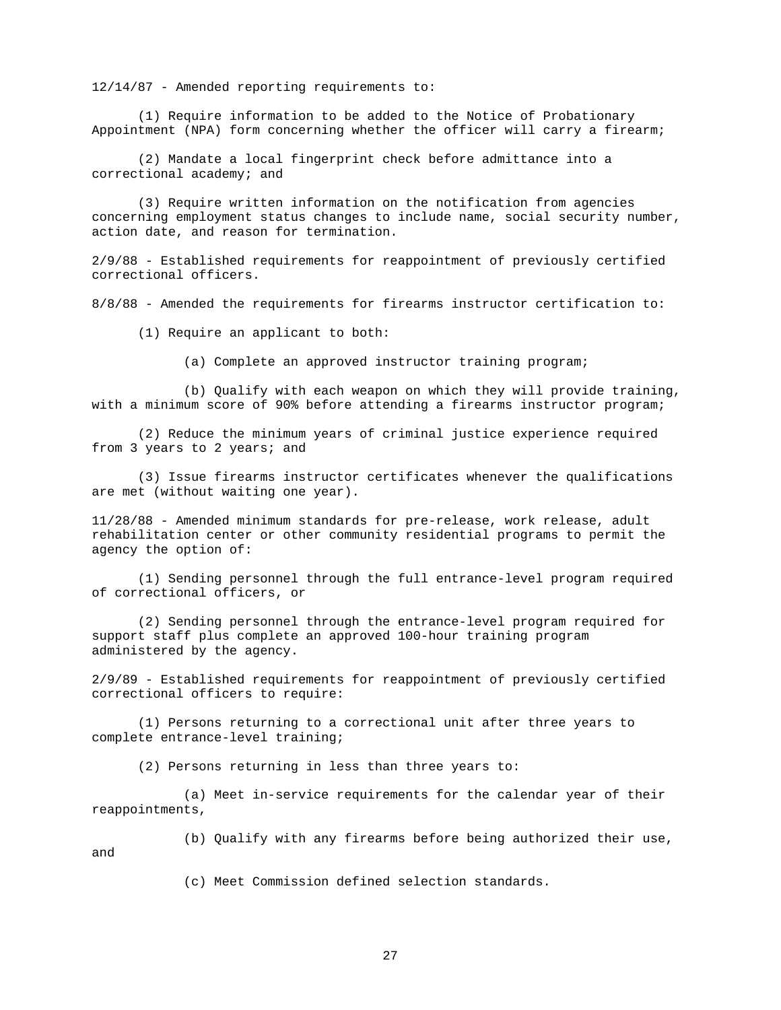12/14/87 - Amended reporting requirements to:

 (1) Require information to be added to the Notice of Probationary Appointment (NPA) form concerning whether the officer will carry a firearm;

 (2) Mandate a local fingerprint check before admittance into a correctional academy; and

 (3) Require written information on the notification from agencies concerning employment status changes to include name, social security number, action date, and reason for termination.

2/9/88 - Established requirements for reappointment of previously certified correctional officers.

8/8/88 - Amended the requirements for firearms instructor certification to:

(1) Require an applicant to both:

(a) Complete an approved instructor training program;

 (b) Qualify with each weapon on which they will provide training, with a minimum score of 90% before attending a firearms instructor program;

 (2) Reduce the minimum years of criminal justice experience required from 3 years to 2 years; and

 (3) Issue firearms instructor certificates whenever the qualifications are met (without waiting one year).

11/28/88 - Amended minimum standards for pre-release, work release, adult rehabilitation center or other community residential programs to permit the agency the option of:

 (1) Sending personnel through the full entrance-level program required of correctional officers, or

 (2) Sending personnel through the entrance-level program required for support staff plus complete an approved 100-hour training program administered by the agency.

2/9/89 - Established requirements for reappointment of previously certified correctional officers to require:

 (1) Persons returning to a correctional unit after three years to complete entrance-level training;

(2) Persons returning in less than three years to:

 (a) Meet in-service requirements for the calendar year of their reappointments,

(b) Qualify with any firearms before being authorized their use,

and

(c) Meet Commission defined selection standards.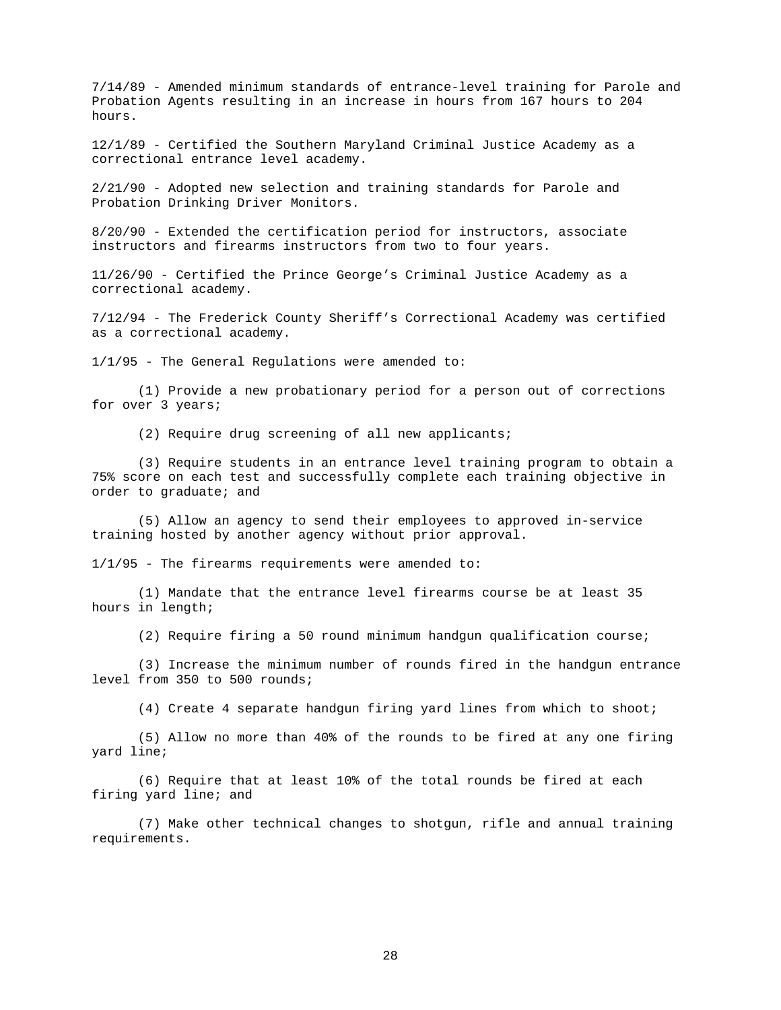7/14/89 - Amended minimum standards of entrance-level training for Parole and Probation Agents resulting in an increase in hours from 167 hours to 204 hours.

12/1/89 - Certified the Southern Maryland Criminal Justice Academy as a correctional entrance level academy.

2/21/90 - Adopted new selection and training standards for Parole and Probation Drinking Driver Monitors.

8/20/90 - Extended the certification period for instructors, associate instructors and firearms instructors from two to four years.

11/26/90 - Certified the Prince George's Criminal Justice Academy as a correctional academy.

7/12/94 - The Frederick County Sheriff's Correctional Academy was certified as a correctional academy.

1/1/95 - The General Regulations were amended to:

 (1) Provide a new probationary period for a person out of corrections for over 3 years;

(2) Require drug screening of all new applicants;

 (3) Require students in an entrance level training program to obtain a 75% score on each test and successfully complete each training objective in order to graduate; and

 (5) Allow an agency to send their employees to approved in-service training hosted by another agency without prior approval.

 $1/1/95$  - The firearms requirements were amended to:

 (1) Mandate that the entrance level firearms course be at least 35 hours in length;

(2) Require firing a 50 round minimum handgun qualification course;

 (3) Increase the minimum number of rounds fired in the handgun entrance level from 350 to 500 rounds;

(4) Create 4 separate handgun firing yard lines from which to shoot;

 (5) Allow no more than 40% of the rounds to be fired at any one firing yard line;

 (6) Require that at least 10% of the total rounds be fired at each firing yard line; and

 (7) Make other technical changes to shotgun, rifle and annual training requirements.

28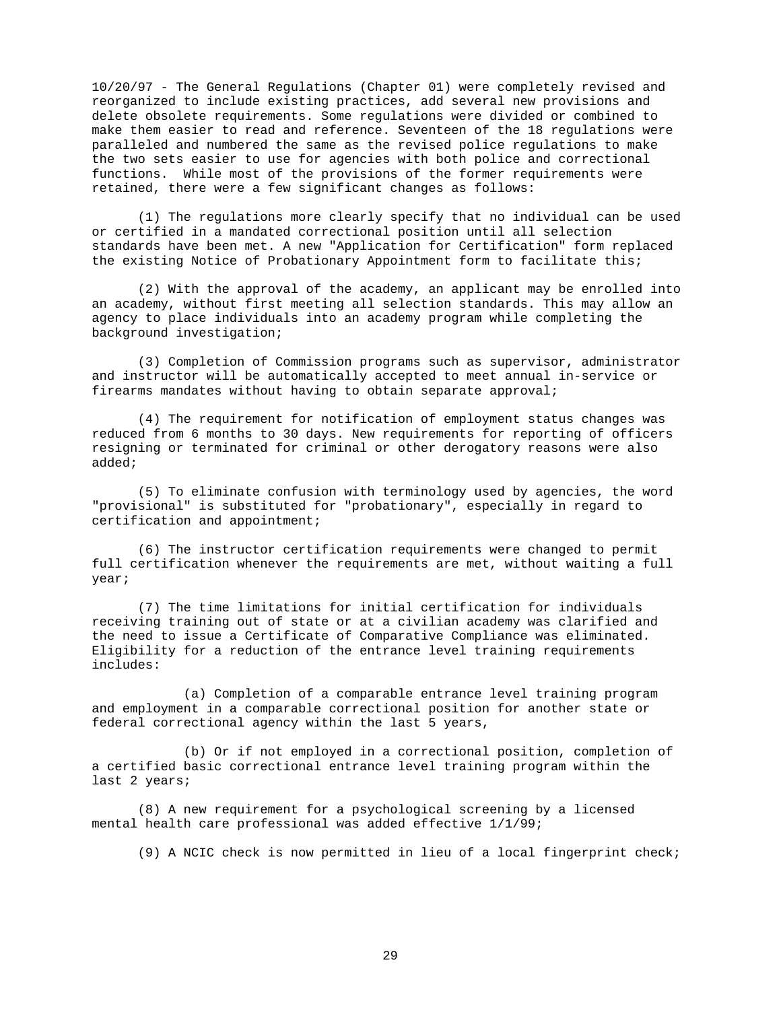10/20/97 - The General Regulations (Chapter 01) were completely revised and reorganized to include existing practices, add several new provisions and delete obsolete requirements. Some regulations were divided or combined to make them easier to read and reference. Seventeen of the 18 regulations were paralleled and numbered the same as the revised police regulations to make the two sets easier to use for agencies with both police and correctional functions. While most of the provisions of the former requirements were retained, there were a few significant changes as follows:

 (1) The regulations more clearly specify that no individual can be used or certified in a mandated correctional position until all selection standards have been met. A new "Application for Certification" form replaced the existing Notice of Probationary Appointment form to facilitate this;

 (2) With the approval of the academy, an applicant may be enrolled into an academy, without first meeting all selection standards. This may allow an agency to place individuals into an academy program while completing the background investigation;

 (3) Completion of Commission programs such as supervisor, administrator and instructor will be automatically accepted to meet annual in-service or firearms mandates without having to obtain separate approval;

 (4) The requirement for notification of employment status changes was reduced from 6 months to 30 days. New requirements for reporting of officers resigning or terminated for criminal or other derogatory reasons were also added;

 (5) To eliminate confusion with terminology used by agencies, the word "provisional" is substituted for "probationary", especially in regard to certification and appointment;

 (6) The instructor certification requirements were changed to permit full certification whenever the requirements are met, without waiting a full year;

 (7) The time limitations for initial certification for individuals receiving training out of state or at a civilian academy was clarified and the need to issue a Certificate of Comparative Compliance was eliminated. Eligibility for a reduction of the entrance level training requirements includes:

 (a) Completion of a comparable entrance level training program and employment in a comparable correctional position for another state or federal correctional agency within the last 5 years,

 (b) Or if not employed in a correctional position, completion of a certified basic correctional entrance level training program within the last 2 years;

 (8) A new requirement for a psychological screening by a licensed mental health care professional was added effective 1/1/99;

(9) A NCIC check is now permitted in lieu of a local fingerprint check;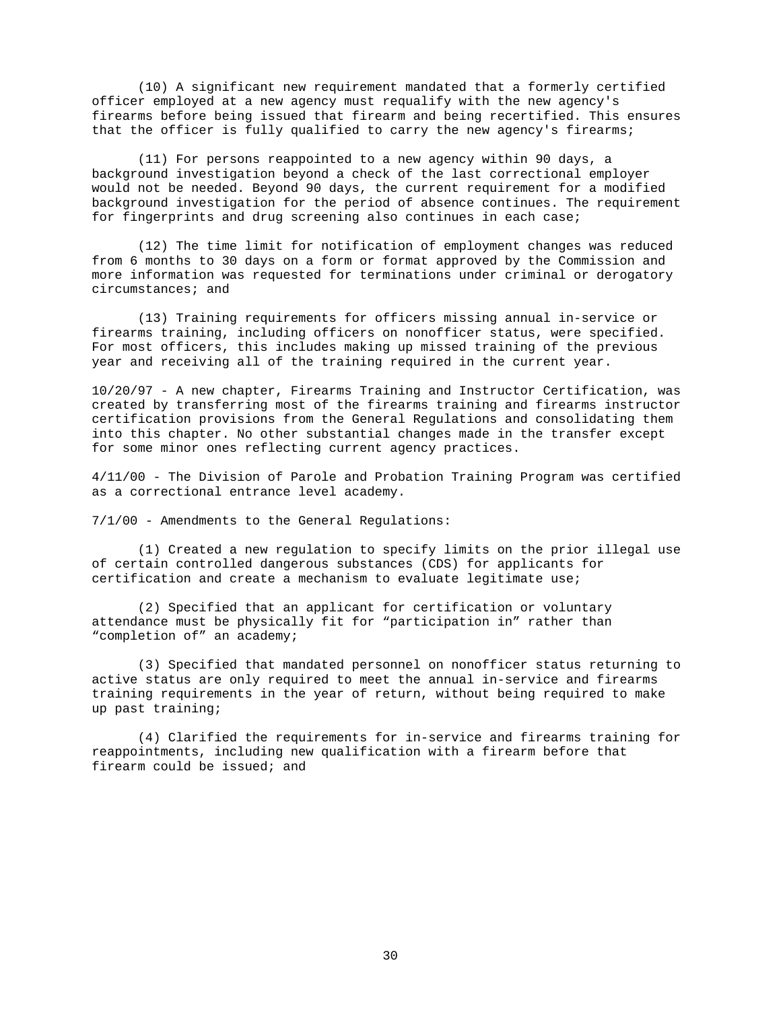(10) A significant new requirement mandated that a formerly certified officer employed at a new agency must requalify with the new agency's firearms before being issued that firearm and being recertified. This ensures that the officer is fully qualified to carry the new agency's firearms;

 (11) For persons reappointed to a new agency within 90 days, a background investigation beyond a check of the last correctional employer would not be needed. Beyond 90 days, the current requirement for a modified background investigation for the period of absence continues. The requirement for fingerprints and drug screening also continues in each case;

 (12) The time limit for notification of employment changes was reduced from 6 months to 30 days on a form or format approved by the Commission and more information was requested for terminations under criminal or derogatory circumstances; and

 (13) Training requirements for officers missing annual in-service or firearms training, including officers on nonofficer status, were specified. For most officers, this includes making up missed training of the previous year and receiving all of the training required in the current year.

10/20/97 - A new chapter, Firearms Training and Instructor Certification, was created by transferring most of the firearms training and firearms instructor certification provisions from the General Regulations and consolidating them into this chapter. No other substantial changes made in the transfer except for some minor ones reflecting current agency practices.

4/11/00 - The Division of Parole and Probation Training Program was certified as a correctional entrance level academy.

7/1/00 - Amendments to the General Regulations:

 (1) Created a new regulation to specify limits on the prior illegal use of certain controlled dangerous substances (CDS) for applicants for certification and create a mechanism to evaluate legitimate use;

 (2) Specified that an applicant for certification or voluntary attendance must be physically fit for "participation in" rather than "completion of" an academy;

 (3) Specified that mandated personnel on nonofficer status returning to active status are only required to meet the annual in-service and firearms training requirements in the year of return, without being required to make up past training;

 (4) Clarified the requirements for in-service and firearms training for reappointments, including new qualification with a firearm before that firearm could be issued; and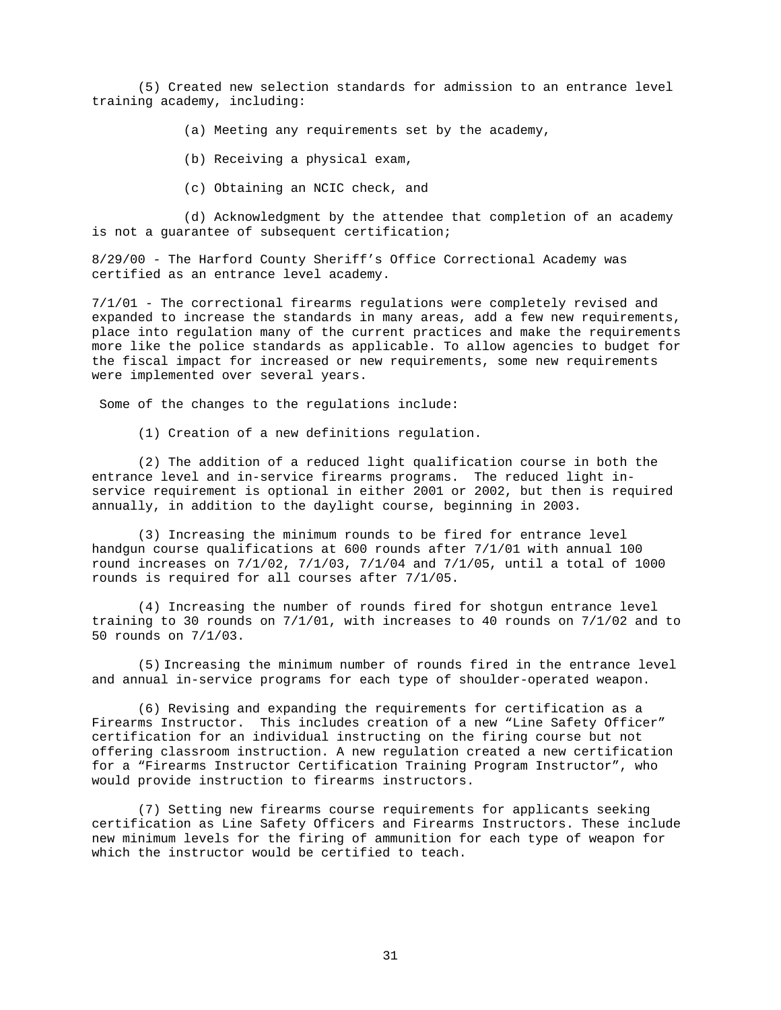(5) Created new selection standards for admission to an entrance level training academy, including:

(a) Meeting any requirements set by the academy,

- (b) Receiving a physical exam,
- (c) Obtaining an NCIC check, and

 (d) Acknowledgment by the attendee that completion of an academy is not a guarantee of subsequent certification;

8/29/00 - The Harford County Sheriff's Office Correctional Academy was certified as an entrance level academy.

7/1/01 - The correctional firearms regulations were completely revised and expanded to increase the standards in many areas, add a few new requirements, place into regulation many of the current practices and make the requirements more like the police standards as applicable. To allow agencies to budget for the fiscal impact for increased or new requirements, some new requirements were implemented over several years.

Some of the changes to the regulations include:

(1) Creation of a new definitions regulation.

 (2) The addition of a reduced light qualification course in both the entrance level and in-service firearms programs. The reduced light inservice requirement is optional in either 2001 or 2002, but then is required annually, in addition to the daylight course, beginning in 2003.

 (3) Increasing the minimum rounds to be fired for entrance level handgun course qualifications at 600 rounds after 7/1/01 with annual 100 round increases on 7/1/02, 7/1/03, 7/1/04 and 7/1/05, until a total of 1000 rounds is required for all courses after 7/1/05.

 (4) Increasing the number of rounds fired for shotgun entrance level training to 30 rounds on 7/1/01, with increases to 40 rounds on 7/1/02 and to 50 rounds on 7/1/03.

(5) Increasing the minimum number of rounds fired in the entrance level and annual in-service programs for each type of shoulder-operated weapon.

 (6) Revising and expanding the requirements for certification as a Firearms Instructor. This includes creation of a new "Line Safety Officer" certification for an individual instructing on the firing course but not offering classroom instruction. A new regulation created a new certification for a "Firearms Instructor Certification Training Program Instructor", who would provide instruction to firearms instructors.

 (7) Setting new firearms course requirements for applicants seeking certification as Line Safety Officers and Firearms Instructors. These include new minimum levels for the firing of ammunition for each type of weapon for which the instructor would be certified to teach.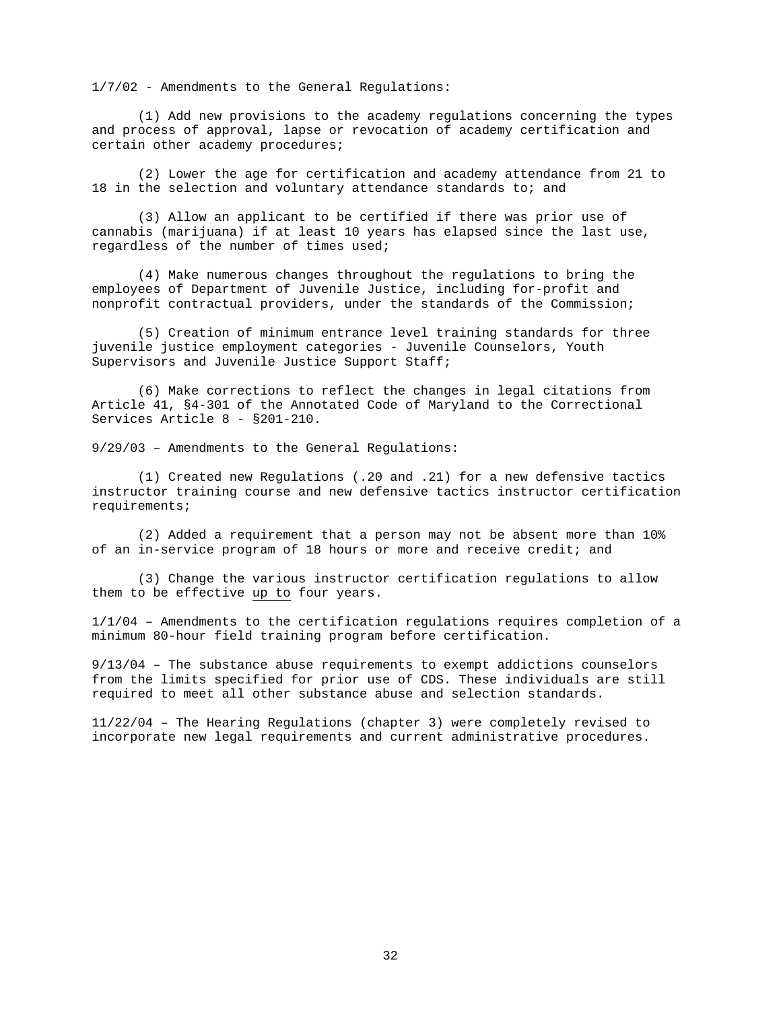1/7/02 - Amendments to the General Regulations:

(1) Add new provisions to the academy regulations concerning the types and process of approval, lapse or revocation of academy certification and certain other academy procedures;

 (2) Lower the age for certification and academy attendance from 21 to 18 in the selection and voluntary attendance standards to; and

 (3) Allow an applicant to be certified if there was prior use of cannabis (marijuana) if at least 10 years has elapsed since the last use, regardless of the number of times used;

 (4) Make numerous changes throughout the regulations to bring the employees of Department of Juvenile Justice, including for-profit and nonprofit contractual providers, under the standards of the Commission;

 (5) Creation of minimum entrance level training standards for three juvenile justice employment categories - Juvenile Counselors, Youth Supervisors and Juvenile Justice Support Staff;

 (6) Make corrections to reflect the changes in legal citations from Article 41, §4-301 of the Annotated Code of Maryland to the Correctional Services Article 8 - §201-210.

9/29/03 – Amendments to the General Regulations:

(1) Created new Regulations (.20 and .21) for a new defensive tactics instructor training course and new defensive tactics instructor certification requirements;

(2) Added a requirement that a person may not be absent more than 10% of an in-service program of 18 hours or more and receive credit; and

(3) Change the various instructor certification regulations to allow them to be effective up to four years.

1/1/04 – Amendments to the certification regulations requires completion of a minimum 80-hour field training program before certification.

9/13/04 – The substance abuse requirements to exempt addictions counselors from the limits specified for prior use of CDS. These individuals are still required to meet all other substance abuse and selection standards.

11/22/04 – The Hearing Regulations (chapter 3) were completely revised to incorporate new legal requirements and current administrative procedures.